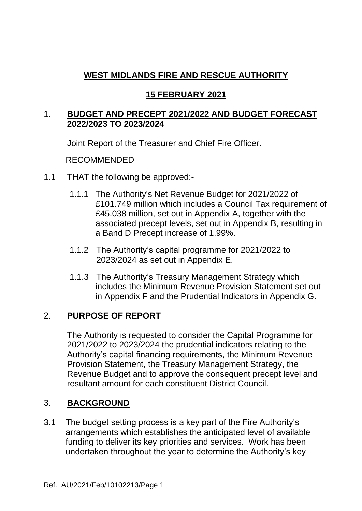## **15 FEBRUARY 2021**

### 1. **BUDGET AND PRECEPT 2021/2022 AND BUDGET FORECAST 2022/2023 TO 2023/2024**

Joint Report of the Treasurer and Chief Fire Officer.

### RECOMMENDED

- 1.1 THAT the following be approved:-
	- 1.1.1 The Authority's Net Revenue Budget for 2021/2022 of £101.749 million which includes a Council Tax requirement of £45.038 million, set out in Appendix A, together with the associated precept levels, set out in Appendix B, resulting in a Band D Precept increase of 1.99%.
	- 1.1.2 The Authority's capital programme for 2021/2022 to 2023/2024 as set out in Appendix E.
	- 1.1.3 The Authority's Treasury Management Strategy which includes the Minimum Revenue Provision Statement set out in Appendix F and the Prudential Indicators in Appendix G.

# 2. **PURPOSE OF REPORT**

The Authority is requested to consider the Capital Programme for 2021/2022 to 2023/2024 the prudential indicators relating to the Authority's capital financing requirements, the Minimum Revenue Provision Statement, the Treasury Management Strategy, the Revenue Budget and to approve the consequent precept level and resultant amount for each constituent District Council.

## 3. **BACKGROUND**

3.1 The budget setting process is a key part of the Fire Authority's arrangements which establishes the anticipated level of available funding to deliver its key priorities and services. Work has been undertaken throughout the year to determine the Authority's key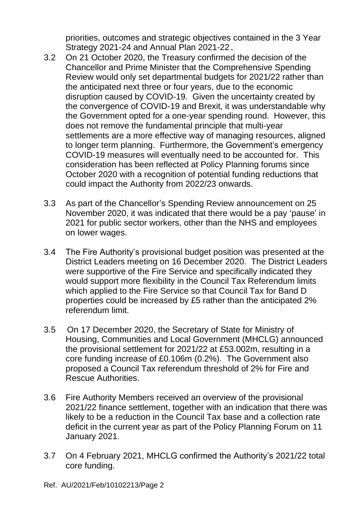priorities, outcomes and strategic objectives contained in the 3 Year Strategy 2021-24 and Annual Plan 2021-22.

- 3.2 On 21 October 2020, the Treasury confirmed the decision of the Chancellor and Prime Minister that the Comprehensive Spending Review would only set departmental budgets for 2021/22 rather than the anticipated next three or four years, due to the economic disruption caused by COVID-19. Given the uncertainty created by the convergence of COVID-19 and Brexit, it was understandable why the Government opted for a one-year spending round. However, this does not remove the fundamental principle that multi-year settlements are a more effective way of managing resources, aligned to longer term planning. Furthermore, the Government's emergency COVID-19 measures will eventually need to be accounted for. This consideration has been reflected at Policy Planning forums since October 2020 with a recognition of potential funding reductions that could impact the Authority from 2022/23 onwards.
- 3.3 As part of the Chancellor's Spending Review announcement on 25 November 2020, it was indicated that there would be a pay 'pause' in 2021 for public sector workers, other than the NHS and employees on lower wages.
- 3.4 The Fire Authority's provisional budget position was presented at the District Leaders meeting on 16 December 2020. The District Leaders were supportive of the Fire Service and specifically indicated they would support more flexibility in the Council Tax Referendum limits which applied to the Fire Service so that Council Tax for Band D properties could be increased by £5 rather than the anticipated 2% referendum limit.
- 3.5 On 17 December 2020, the Secretary of State for Ministry of Housing, Communities and Local Government (MHCLG) announced the provisional settlement for 2021/22 at £53.002m, resulting in a core funding increase of £0.106m (0.2%). The Government also proposed a Council Tax referendum threshold of 2% for Fire and Rescue Authorities.
- 3.6 Fire Authority Members received an overview of the provisional 2021/22 finance settlement, together with an indication that there was likely to be a reduction in the Council Tax base and a collection rate deficit in the current year as part of the Policy Planning Forum on 11 January 2021.
- 3.7 On 4 February 2021, MHCLG confirmed the Authority's 2021/22 total core funding.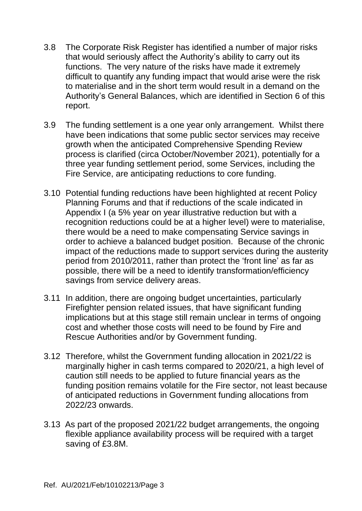- 3.8 The Corporate Risk Register has identified a number of major risks that would seriously affect the Authority's ability to carry out its functions. The very nature of the risks have made it extremely difficult to quantify any funding impact that would arise were the risk to materialise and in the short term would result in a demand on the Authority's General Balances, which are identified in Section 6 of this report.
- 3.9 The funding settlement is a one year only arrangement. Whilst there have been indications that some public sector services may receive growth when the anticipated Comprehensive Spending Review process is clarified (circa October/November 2021), potentially for a three year funding settlement period, some Services, including the Fire Service, are anticipating reductions to core funding.
- 3.10 Potential funding reductions have been highlighted at recent Policy Planning Forums and that if reductions of the scale indicated in Appendix I (a 5% year on year illustrative reduction but with a recognition reductions could be at a higher level) were to materialise, there would be a need to make compensating Service savings in order to achieve a balanced budget position. Because of the chronic impact of the reductions made to support services during the austerity period from 2010/2011, rather than protect the 'front line' as far as possible, there will be a need to identify transformation/efficiency savings from service delivery areas.
- 3.11 In addition, there are ongoing budget uncertainties, particularly Firefighter pension related issues, that have significant funding implications but at this stage still remain unclear in terms of ongoing cost and whether those costs will need to be found by Fire and Rescue Authorities and/or by Government funding.
- 3.12 Therefore, whilst the Government funding allocation in 2021/22 is marginally higher in cash terms compared to 2020/21, a high level of caution still needs to be applied to future financial years as the funding position remains volatile for the Fire sector, not least because of anticipated reductions in Government funding allocations from 2022/23 onwards.
- 3.13 As part of the proposed 2021/22 budget arrangements, the ongoing flexible appliance availability process will be required with a target saving of £3.8M.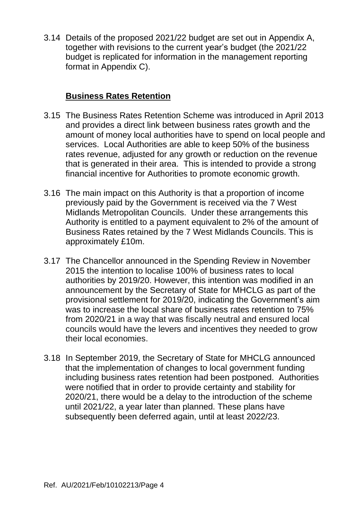3.14 Details of the proposed 2021/22 budget are set out in Appendix A, together with revisions to the current year's budget (the 2021/22 budget is replicated for information in the management reporting format in Appendix C).

### **Business Rates Retention**

- 3.15 The Business Rates Retention Scheme was introduced in April 2013 and provides a direct link between business rates growth and the amount of money local authorities have to spend on local people and services. Local Authorities are able to keep 50% of the business rates revenue, adjusted for any growth or reduction on the revenue that is generated in their area. This is intended to provide a strong financial incentive for Authorities to promote economic growth.
- 3.16 The main impact on this Authority is that a proportion of income previously paid by the Government is received via the 7 West Midlands Metropolitan Councils. Under these arrangements this Authority is entitled to a payment equivalent to 2% of the amount of Business Rates retained by the 7 West Midlands Councils. This is approximately £10m.
- 3.17 The Chancellor announced in the Spending Review in November 2015 the intention to localise 100% of business rates to local authorities by 2019/20. However, this intention was modified in an announcement by the Secretary of State for MHCLG as part of the provisional settlement for 2019/20, indicating the Government's aim was to increase the local share of business rates retention to 75% from 2020/21 in a way that was fiscally neutral and ensured local councils would have the levers and incentives they needed to grow their local economies.
- 3.18 In September 2019, the Secretary of State for MHCLG announced that the implementation of changes to local government funding including business rates retention had been postponed. Authorities were notified that in order to provide certainty and stability for 2020/21, there would be a delay to the introduction of the scheme until 2021/22, a year later than planned. These plans have subsequently been deferred again, until at least 2022/23.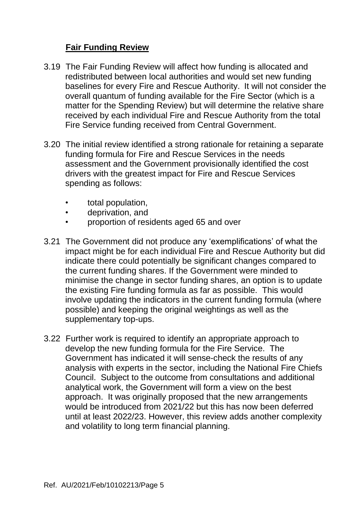## **Fair Funding Review**

- 3.19 The Fair Funding Review will affect how funding is allocated and redistributed between local authorities and would set new funding baselines for every Fire and Rescue Authority. It will not consider the overall quantum of funding available for the Fire Sector (which is a matter for the Spending Review) but will determine the relative share received by each individual Fire and Rescue Authority from the total Fire Service funding received from Central Government.
- 3.20 The initial review identified a strong rationale for retaining a separate funding formula for Fire and Rescue Services in the needs assessment and the Government provisionally identified the cost drivers with the greatest impact for Fire and Rescue Services spending as follows:
	- total population,
	- deprivation, and
	- proportion of residents aged 65 and over
- 3.21 The Government did not produce any 'exemplifications' of what the impact might be for each individual Fire and Rescue Authority but did indicate there could potentially be significant changes compared to the current funding shares. If the Government were minded to minimise the change in sector funding shares, an option is to update the existing Fire funding formula as far as possible. This would involve updating the indicators in the current funding formula (where possible) and keeping the original weightings as well as the supplementary top-ups.
- 3.22 Further work is required to identify an appropriate approach to develop the new funding formula for the Fire Service. The Government has indicated it will sense-check the results of any analysis with experts in the sector, including the National Fire Chiefs Council. Subject to the outcome from consultations and additional analytical work, the Government will form a view on the best approach. It was originally proposed that the new arrangements would be introduced from 2021/22 but this has now been deferred until at least 2022/23. However, this review adds another complexity and volatility to long term financial planning.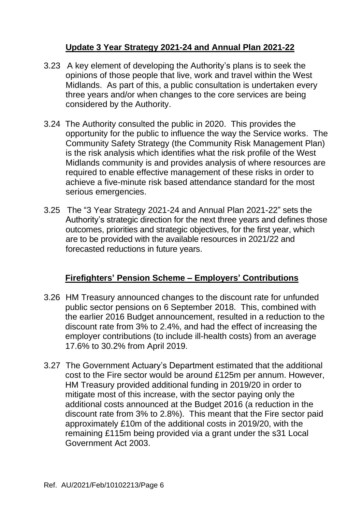## **Update 3 Year Strategy 2021-24 and Annual Plan 2021-22**

- 3.23 A key element of developing the Authority's plans is to seek the opinions of those people that live, work and travel within the West Midlands. As part of this, a public consultation is undertaken every three years and/or when changes to the core services are being considered by the Authority.
- 3.24 The Authority consulted the public in 2020. This provides the opportunity for the public to influence the way the Service works. The Community Safety Strategy (the Community Risk Management Plan) is the risk analysis which identifies what the risk profile of the West Midlands community is and provides analysis of where resources are required to enable effective management of these risks in order to achieve a five-minute risk based attendance standard for the most serious emergencies.
- 3.25 The "3 Year Strategy 2021-24 and Annual Plan 2021-22" sets the Authority's strategic direction for the next three years and defines those outcomes, priorities and strategic objectives, for the first year, which are to be provided with the available resources in 2021/22 and forecasted reductions in future years.

## **Firefighters' Pension Scheme – Employers' Contributions**

- 3.26 HM Treasury announced changes to the discount rate for unfunded public sector pensions on 6 September 2018. This, combined with the earlier 2016 Budget announcement, resulted in a reduction to the discount rate from 3% to 2.4%, and had the effect of increasing the employer contributions (to include ill-health costs) from an average 17.6% to 30.2% from April 2019.
- 3.27 The Government Actuary's Department estimated that the additional cost to the Fire sector would be around £125m per annum. However, HM Treasury provided additional funding in 2019/20 in order to mitigate most of this increase, with the sector paying only the additional costs announced at the Budget 2016 (a reduction in the discount rate from 3% to 2.8%). This meant that the Fire sector paid approximately £10m of the additional costs in 2019/20, with the remaining £115m being provided via a grant under the s31 Local Government Act 2003.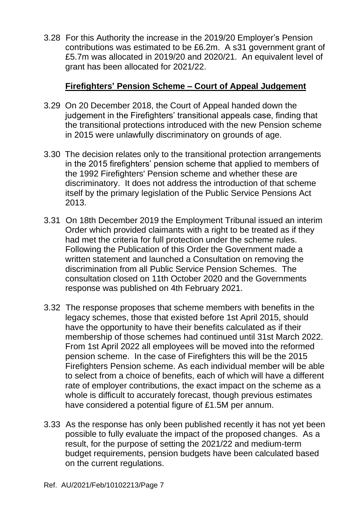3.28 For this Authority the increase in the 2019/20 Employer's Pension contributions was estimated to be £6.2m. A s31 government grant of £5.7m was allocated in 2019/20 and 2020/21. An equivalent level of grant has been allocated for 2021/22.

### **Firefighters' Pension Scheme – Court of Appeal Judgement**

- 3.29 On 20 December 2018, the Court of Appeal handed down the judgement in the Firefighters' transitional appeals case, finding that the transitional protections introduced with the new Pension scheme in 2015 were unlawfully discriminatory on grounds of age.
- 3.30 The decision relates only to the transitional protection arrangements in the 2015 firefighters' pension scheme that applied to members of the 1992 Firefighters' Pension scheme and whether these are discriminatory. It does not address the introduction of that scheme itself by the primary legislation of the Public Service Pensions Act 2013.
- 3.31 On 18th December 2019 the Employment Tribunal issued an interim Order which provided claimants with a right to be treated as if they had met the criteria for full protection under the scheme rules. Following the Publication of this Order the Government made a written statement and launched a Consultation on removing the discrimination from all Public Service Pension Schemes. The consultation closed on 11th October 2020 and the Governments response was published on 4th February 2021.
- 3.32 The response proposes that scheme members with benefits in the legacy schemes, those that existed before 1st April 2015, should have the opportunity to have their benefits calculated as if their membership of those schemes had continued until 31st March 2022. From 1st April 2022 all employees will be moved into the reformed pension scheme. In the case of Firefighters this will be the 2015 Firefighters Pension scheme. As each individual member will be able to select from a choice of benefits, each of which will have a different rate of employer contributions, the exact impact on the scheme as a whole is difficult to accurately forecast, though previous estimates have considered a potential figure of £1.5M per annum.
- 3.33 As the response has only been published recently it has not yet been possible to fully evaluate the impact of the proposed changes. As a result, for the purpose of setting the 2021/22 and medium-term budget requirements, pension budgets have been calculated based on the current regulations.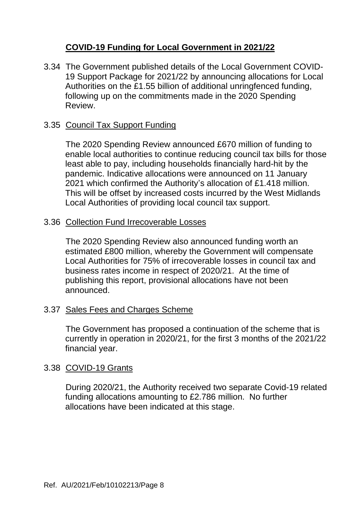## **COVID-19 Funding for Local Government in 2021/22**

3.34 The Government published details of the Local Government COVID-19 Support Package for 2021/22 by announcing allocations for Local Authorities on the £1.55 billion of additional unringfenced funding, following up on the commitments made in the 2020 Spending Review.

### 3.35 Council Tax Support Funding

The 2020 Spending Review announced £670 million of funding to enable local authorities to continue reducing council tax bills for those least able to pay, including households financially hard-hit by the pandemic. Indicative allocations were announced on 11 January 2021 which confirmed the Authority's allocation of £1.418 million. This will be offset by increased costs incurred by the West Midlands Local Authorities of providing local council tax support.

#### 3.36 Collection Fund Irrecoverable Losses

The 2020 Spending Review also announced funding worth an estimated £800 million, whereby the Government will compensate Local Authorities for 75% of irrecoverable losses in council tax and business rates income in respect of 2020/21. At the time of publishing this report, provisional allocations have not been announced.

#### 3.37 Sales Fees and Charges Scheme

The Government has proposed a continuation of the scheme that is currently in operation in 2020/21, for the first 3 months of the 2021/22 financial year.

#### 3.38 COVID-19 Grants

During 2020/21, the Authority received two separate Covid-19 related funding allocations amounting to £2.786 million. No further allocations have been indicated at this stage.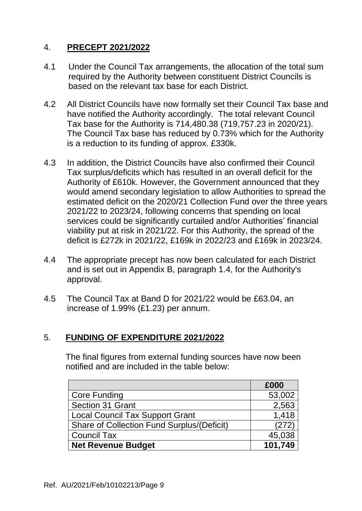### 4. **PRECEPT 2021/2022**

- 4.1 Under the Council Tax arrangements, the allocation of the total sum required by the Authority between constituent District Councils is based on the relevant tax base for each District.
- 4.2 All District Councils have now formally set their Council Tax base and have notified the Authority accordingly. The total relevant Council Tax base for the Authority is 714,480.38 (719,757.23 in 2020/21). The Council Tax base has reduced by 0.73% which for the Authority is a reduction to its funding of approx. £330k.
- 4.3 In addition, the District Councils have also confirmed their Council Tax surplus/deficits which has resulted in an overall deficit for the Authority of £610k. However, the Government announced that they would amend secondary legislation to allow Authorities to spread the estimated deficit on the 2020/21 Collection Fund over the three years 2021/22 to 2023/24, following concerns that spending on local services could be significantly curtailed and/or Authorities' financial viability put at risk in 2021/22. For this Authority, the spread of the deficit is £272k in 2021/22, £169k in 2022/23 and £169k in 2023/24.
- 4.4 The appropriate precept has now been calculated for each District and is set out in Appendix B, paragraph 1.4, for the Authority's approval.
- 4.5 The Council Tax at Band D for 2021/22 would be £63.04, an increase of 1.99% (£1.23) per annum.

## 5. **FUNDING OF EXPENDITURE 2021/2022**

The final figures from external funding sources have now been notified and are included in the table below:

|                                                   | £000    |
|---------------------------------------------------|---------|
| <b>Core Funding</b>                               | 53,002  |
| Section 31 Grant                                  | 2,563   |
| <b>Local Council Tax Support Grant</b>            | 1,418   |
| <b>Share of Collection Fund Surplus/(Deficit)</b> | (272)   |
| <b>Council Tax</b>                                | 45,038  |
| <b>Net Revenue Budget</b>                         | 101,749 |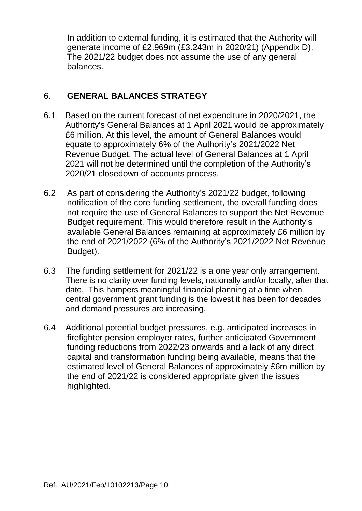In addition to external funding, it is estimated that the Authority will generate income of £2.969m (£3.243m in 2020/21) (Appendix D). The 2021/22 budget does not assume the use of any general balances.

## 6. **GENERAL BALANCES STRATEGY**

- 6.1 Based on the current forecast of net expenditure in 2020/2021, the Authority's General Balances at 1 April 2021 would be approximately £6 million. At this level, the amount of General Balances would equate to approximately 6% of the Authority's 2021/2022 Net Revenue Budget. The actual level of General Balances at 1 April 2021 will not be determined until the completion of the Authority's 2020/21 closedown of accounts process.
- 6.2 As part of considering the Authority's 2021/22 budget, following notification of the core funding settlement, the overall funding does not require the use of General Balances to support the Net Revenue Budget requirement. This would therefore result in the Authority's available General Balances remaining at approximately £6 million by the end of 2021/2022 (6% of the Authority's 2021/2022 Net Revenue Budget).
- 6.3 The funding settlement for 2021/22 is a one year only arrangement. There is no clarity over funding levels, nationally and/or locally, after that date. This hampers meaningful financial planning at a time when central government grant funding is the lowest it has been for decades and demand pressures are increasing.
- 6.4 Additional potential budget pressures, e.g. anticipated increases in firefighter pension employer rates, further anticipated Government funding reductions from 2022/23 onwards and a lack of any direct capital and transformation funding being available, means that the estimated level of General Balances of approximately £6m million by the end of 2021/22 is considered appropriate given the issues highlighted.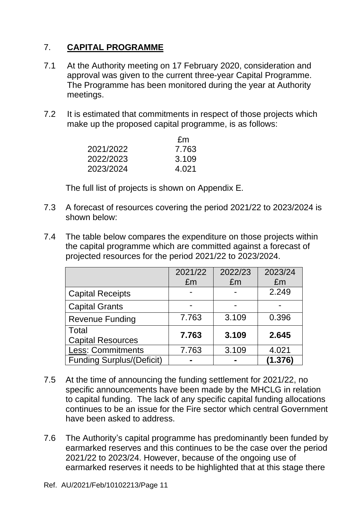## 7. **CAPITAL PROGRAMME**

- 7.1 At the Authority meeting on 17 February 2020, consideration and approval was given to the current three-year Capital Programme. The Programme has been monitored during the year at Authority meetings.
- 7.2 It is estimated that commitments in respect of those projects which make up the proposed capital programme, is as follows:

|           | £m    |
|-----------|-------|
| 2021/2022 | 7.763 |
| 2022/2023 | 3.109 |
| 2023/2024 | 4.021 |

The full list of projects is shown on Appendix E.

- 7.3 A forecast of resources covering the period 2021/22 to 2023/2024 is shown below:
- 7.4 The table below compares the expenditure on those projects within the capital programme which are committed against a forecast of projected resources for the period 2021/22 to 2023/2024.

|                                  | 2021/22 | 2022/23 | 2023/24 |
|----------------------------------|---------|---------|---------|
|                                  | £m      | £m      | £m      |
| <b>Capital Receipts</b>          |         |         | 2.249   |
| <b>Capital Grants</b>            |         |         |         |
| <b>Revenue Funding</b>           | 7.763   | 3.109   | 0.396   |
| Total                            |         | 3.109   |         |
| <b>Capital Resources</b>         | 7.763   |         | 2.645   |
| <b>Less: Commitments</b>         | 7.763   | 3.109   | 4.021   |
| <b>Funding Surplus/(Deficit)</b> |         |         | (1.376) |

- 7.5 At the time of announcing the funding settlement for 2021/22, no specific announcements have been made by the MHCLG in relation to capital funding. The lack of any specific capital funding allocations continues to be an issue for the Fire sector which central Government have been asked to address.
- 7.6 The Authority's capital programme has predominantly been funded by earmarked reserves and this continues to be the case over the period 2021/22 to 2023/24. However, because of the ongoing use of earmarked reserves it needs to be highlighted that at this stage there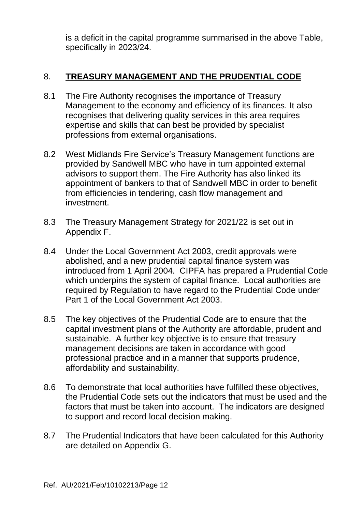is a deficit in the capital programme summarised in the above Table, specifically in 2023/24.

## 8. **TREASURY MANAGEMENT AND THE PRUDENTIAL CODE**

- 8.1 The Fire Authority recognises the importance of Treasury Management to the economy and efficiency of its finances. It also recognises that delivering quality services in this area requires expertise and skills that can best be provided by specialist professions from external organisations.
- 8.2 West Midlands Fire Service's Treasury Management functions are provided by Sandwell MBC who have in turn appointed external advisors to support them. The Fire Authority has also linked its appointment of bankers to that of Sandwell MBC in order to benefit from efficiencies in tendering, cash flow management and investment.
- 8.3 The Treasury Management Strategy for 2021/22 is set out in Appendix F.
- 8.4 Under the Local Government Act 2003, credit approvals were abolished, and a new prudential capital finance system was introduced from 1 April 2004. CIPFA has prepared a Prudential Code which underpins the system of capital finance. Local authorities are required by Regulation to have regard to the Prudential Code under Part 1 of the Local Government Act 2003.
- 8.5 The key objectives of the Prudential Code are to ensure that the capital investment plans of the Authority are affordable, prudent and sustainable. A further key objective is to ensure that treasury management decisions are taken in accordance with good professional practice and in a manner that supports prudence, affordability and sustainability.
- 8.6 To demonstrate that local authorities have fulfilled these objectives, the Prudential Code sets out the indicators that must be used and the factors that must be taken into account. The indicators are designed to support and record local decision making.
- 8.7 The Prudential Indicators that have been calculated for this Authority are detailed on Appendix G.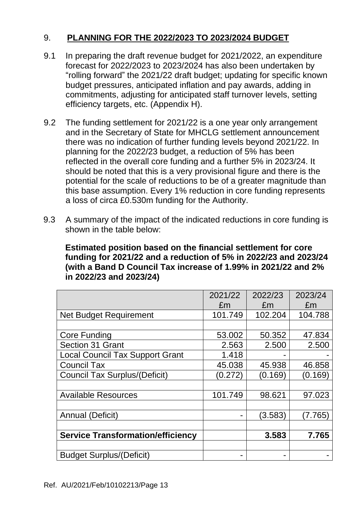## 9. **PLANNING FOR THE 2022/2023 TO 2023/2024 BUDGET**

- 9.1 In preparing the draft revenue budget for 2021/2022, an expenditure forecast for 2022/2023 to 2023/2024 has also been undertaken by "rolling forward" the 2021/22 draft budget; updating for specific known budget pressures, anticipated inflation and pay awards, adding in commitments, adjusting for anticipated staff turnover levels, setting efficiency targets, etc. (Appendix H).
- 9.2 The funding settlement for 2021/22 is a one year only arrangement and in the Secretary of State for MHCLG settlement announcement there was no indication of further funding levels beyond 2021/22. In planning for the 2022/23 budget, a reduction of 5% has been reflected in the overall core funding and a further 5% in 2023/24. It should be noted that this is a very provisional figure and there is the potential for the scale of reductions to be of a greater magnitude than this base assumption. Every 1% reduction in core funding represents a loss of circa £0.530m funding for the Authority.
- 9.3 A summary of the impact of the indicated reductions in core funding is shown in the table below:

**Estimated position based on the financial settlement for core funding for 2021/22 and a reduction of 5% in 2022/23 and 2023/24 (with a Band D Council Tax increase of 1.99% in 2021/22 and 2% in 2022/23 and 2023/24)**

|                                          | 2021/22<br>£m | 2022/23<br>£m | 2023/24<br>£m |
|------------------------------------------|---------------|---------------|---------------|
| <b>Net Budget Requirement</b>            | 101.749       | 102.204       | 104.788       |
|                                          |               |               |               |
| <b>Core Funding</b>                      | 53.002        | 50.352        | 47.834        |
| Section 31 Grant                         | 2.563         | 2.500         | 2.500         |
| <b>Local Council Tax Support Grant</b>   | 1.418         |               |               |
| <b>Council Tax</b>                       | 45.038        | 45.938        | 46.858        |
| <b>Council Tax Surplus/(Deficit)</b>     | (0.272)       | (0.169)       | (0.169)       |
|                                          |               |               |               |
| <b>Available Resources</b>               | 101.749       | 98.621        | 97.023        |
|                                          |               |               |               |
| Annual (Deficit)                         |               | (3.583)       | (7.765)       |
|                                          |               |               |               |
| <b>Service Transformation/efficiency</b> |               | 3.583         | 7.765         |
|                                          |               |               |               |
| <b>Budget Surplus/(Deficit)</b>          |               |               |               |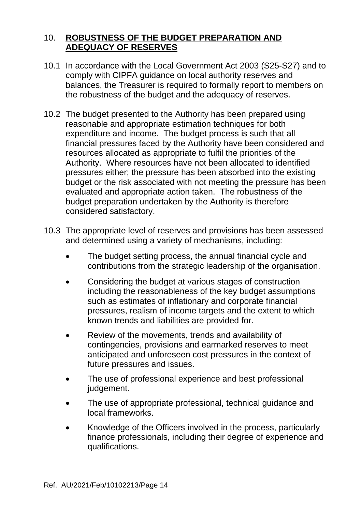### 10. **ROBUSTNESS OF THE BUDGET PREPARATION AND ADEQUACY OF RESERVES**

- 10.1 In accordance with the Local Government Act 2003 (S25-S27) and to comply with CIPFA guidance on local authority reserves and balances, the Treasurer is required to formally report to members on the robustness of the budget and the adequacy of reserves.
- 10.2 The budget presented to the Authority has been prepared using reasonable and appropriate estimation techniques for both expenditure and income. The budget process is such that all financial pressures faced by the Authority have been considered and resources allocated as appropriate to fulfil the priorities of the Authority. Where resources have not been allocated to identified pressures either; the pressure has been absorbed into the existing budget or the risk associated with not meeting the pressure has been evaluated and appropriate action taken. The robustness of the budget preparation undertaken by the Authority is therefore considered satisfactory.
- 10.3 The appropriate level of reserves and provisions has been assessed and determined using a variety of mechanisms, including:
	- The budget setting process, the annual financial cycle and contributions from the strategic leadership of the organisation.
	- Considering the budget at various stages of construction including the reasonableness of the key budget assumptions such as estimates of inflationary and corporate financial pressures, realism of income targets and the extent to which known trends and liabilities are provided for.
	- Review of the movements, trends and availability of contingencies, provisions and earmarked reserves to meet anticipated and unforeseen cost pressures in the context of future pressures and issues.
	- The use of professional experience and best professional judgement.
	- The use of appropriate professional, technical guidance and local frameworks.
	- Knowledge of the Officers involved in the process, particularly finance professionals, including their degree of experience and qualifications.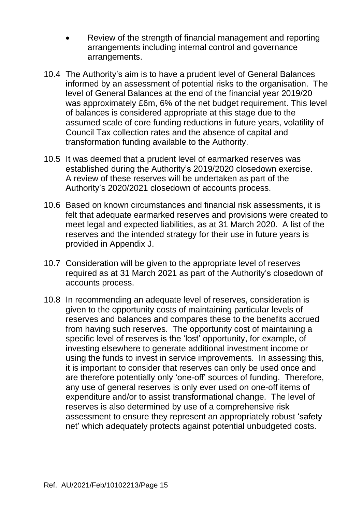- Review of the strength of financial management and reporting arrangements including internal control and governance arrangements.
- 10.4 The Authority's aim is to have a prudent level of General Balances informed by an assessment of potential risks to the organisation. The level of General Balances at the end of the financial year 2019/20 was approximately £6m, 6% of the net budget requirement. This level of balances is considered appropriate at this stage due to the assumed scale of core funding reductions in future years, volatility of Council Tax collection rates and the absence of capital and transformation funding available to the Authority.
- 10.5 It was deemed that a prudent level of earmarked reserves was established during the Authority's 2019/2020 closedown exercise. A review of these reserves will be undertaken as part of the Authority's 2020/2021 closedown of accounts process.
- 10.6 Based on known circumstances and financial risk assessments, it is felt that adequate earmarked reserves and provisions were created to meet legal and expected liabilities, as at 31 March 2020. A list of the reserves and the intended strategy for their use in future years is provided in Appendix J.
- 10.7 Consideration will be given to the appropriate level of reserves required as at 31 March 2021 as part of the Authority's closedown of accounts process.
- 10.8 In recommending an adequate level of reserves, consideration is given to the opportunity costs of maintaining particular levels of reserves and balances and compares these to the benefits accrued from having such reserves. The opportunity cost of maintaining a specific level of reserves is the 'lost' opportunity, for example, of investing elsewhere to generate additional investment income or using the funds to invest in service improvements. In assessing this, it is important to consider that reserves can only be used once and are therefore potentially only 'one-off' sources of funding. Therefore, any use of general reserves is only ever used on one-off items of expenditure and/or to assist transformational change. The level of reserves is also determined by use of a comprehensive risk assessment to ensure they represent an appropriately robust 'safety net' which adequately protects against potential unbudgeted costs.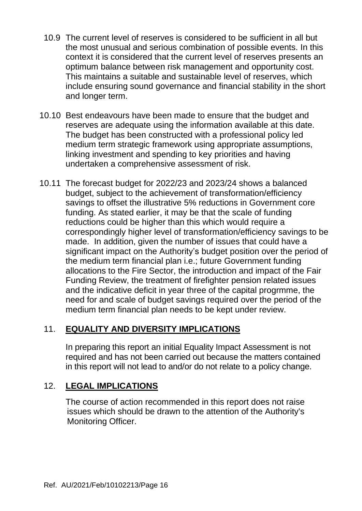- 10.9 The current level of reserves is considered to be sufficient in all but the most unusual and serious combination of possible events. In this context it is considered that the current level of reserves presents an optimum balance between risk management and opportunity cost. This maintains a suitable and sustainable level of reserves, which include ensuring sound governance and financial stability in the short and longer term.
- 10.10 Best endeavours have been made to ensure that the budget and reserves are adequate using the information available at this date. The budget has been constructed with a professional policy led medium term strategic framework using appropriate assumptions, linking investment and spending to key priorities and having undertaken a comprehensive assessment of risk.
- 10.11 The forecast budget for 2022/23 and 2023/24 shows a balanced budget, subject to the achievement of transformation/efficiency savings to offset the illustrative 5% reductions in Government core funding. As stated earlier, it may be that the scale of funding reductions could be higher than this which would require a correspondingly higher level of transformation/efficiency savings to be made. In addition, given the number of issues that could have a significant impact on the Authority's budget position over the period of the medium term financial plan i.e.; future Government funding allocations to the Fire Sector, the introduction and impact of the Fair Funding Review, the treatment of firefighter pension related issues and the indicative deficit in year three of the capital progrmme, the need for and scale of budget savings required over the period of the medium term financial plan needs to be kept under review.

## 11. **EQUALITY AND DIVERSITY IMPLICATIONS**

In preparing this report an initial Equality Impact Assessment is not required and has not been carried out because the matters contained in this report will not lead to and/or do not relate to a policy change.

# 12. **LEGAL IMPLICATIONS**

The course of action recommended in this report does not raise issues which should be drawn to the attention of the Authority's Monitoring Officer.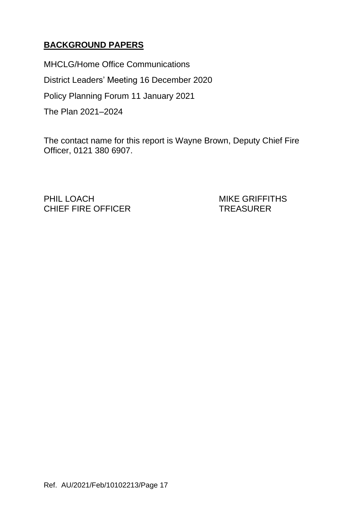# **BACKGROUND PAPERS**

MHCLG/Home Office Communications District Leaders' Meeting 16 December 2020 Policy Planning Forum 11 January 2021 The Plan 2021–2024

The contact name for this report is Wayne Brown, Deputy Chief Fire Officer, 0121 380 6907.

PHIL LOACH MIKE GRIFFITHS CHIEF FIRE OFFICER TREASURER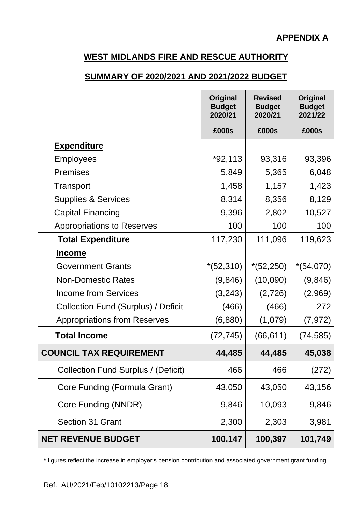#### **SUMMARY OF 2020/2021 AND 2021/2022 BUDGET**

|                                            | <b>Original</b><br><b>Budget</b><br>2020/21 | <b>Revised</b><br><b>Budget</b><br>2020/21 | Original<br><b>Budget</b><br>2021/22 |
|--------------------------------------------|---------------------------------------------|--------------------------------------------|--------------------------------------|
|                                            | £000s                                       | £000s                                      | £000s                                |
| <b>Expenditure</b>                         |                                             |                                            |                                      |
| <b>Employees</b>                           | $*92,113$                                   | 93,316                                     | 93,396                               |
| <b>Premises</b>                            | 5,849                                       | 5,365                                      | 6,048                                |
| Transport                                  | 1,458                                       | 1,157                                      | 1,423                                |
| <b>Supplies &amp; Services</b>             | 8,314                                       | 8,356                                      | 8,129                                |
| <b>Capital Financing</b>                   | 9,396                                       | 2,802                                      | 10,527                               |
| <b>Appropriations to Reserves</b>          | 100                                         | 100                                        | 100                                  |
| <b>Total Expenditure</b>                   | 117,230                                     | 111,096                                    | 119,623                              |
| <u>Income</u>                              |                                             |                                            |                                      |
| <b>Government Grants</b>                   | $*(52,310)$                                 | $*(52,250)$                                | $*(54,070)$                          |
| <b>Non-Domestic Rates</b>                  | (9,846)                                     | (10,090)                                   | (9,846)                              |
| Income from Services                       | (3,243)                                     | (2,726)                                    | (2,969)                              |
| Collection Fund (Surplus) / Deficit        | (466)                                       | (466)                                      | 272                                  |
| <b>Appropriations from Reserves</b>        | (6,880)                                     | (1,079)                                    | (7, 972)                             |
| <b>Total Income</b>                        | (72, 745)                                   | (66, 611)                                  | (74, 585)                            |
| <b>COUNCIL TAX REQUIREMENT</b>             | 44,485                                      | 44,485                                     | 45,038                               |
| <b>Collection Fund Surplus / (Deficit)</b> | 466                                         | 466                                        | (272)                                |
| Core Funding (Formula Grant)               | 43,050                                      | 43,050                                     | 43,156                               |
| Core Funding (NNDR)                        | 9,846                                       | 10,093                                     | 9,846                                |
| <b>Section 31 Grant</b>                    | 2,300                                       | 2,303                                      | 3,981                                |
| <b>NET REVENUE BUDGET</b>                  | 100,147                                     | 100,397                                    | 101,749                              |

**\*** figures reflect the increase in employer's pension contribution and associated government grant funding.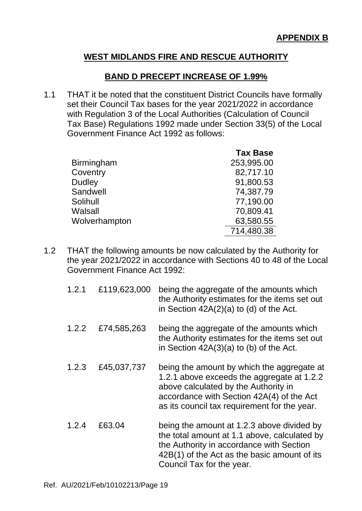#### **BAND D PRECEPT INCREASE OF 1.99%**

1.1 THAT it be noted that the constituent District Councils have formally set their Council Tax bases for the year 2021/2022 in accordance with Regulation 3 of the Local Authorities (Calculation of Council Tax Base) Regulations 1992 made under Section 33(5) of the Local Government Finance Act 1992 as follows:

|                   | <b>Tax Base</b> |
|-------------------|-----------------|
| <b>Birmingham</b> | 253,995.00      |
| Coventry          | 82,717.10       |
| <b>Dudley</b>     | 91,800.53       |
| Sandwell          | 74,387.79       |
| Solihull          | 77,190.00       |
| Walsall           | 70,809.41       |
| Wolverhampton     | 63,580.55       |
|                   | 714,480.38      |

1.2 THAT the following amounts be now calculated by the Authority for the year 2021/2022 in accordance with Sections 40 to 48 of the Local Government Finance Act 1992:

| 1.2.1 | £119,623,000 | being the aggregate of the amounts which<br>the Authority estimates for the items set out<br>in Section $42A(2)(a)$ to (d) of the Act.                                                                                        |
|-------|--------------|-------------------------------------------------------------------------------------------------------------------------------------------------------------------------------------------------------------------------------|
| 1.2.2 | £74,585,263  | being the aggregate of the amounts which<br>the Authority estimates for the items set out<br>in Section $42A(3)(a)$ to (b) of the Act.                                                                                        |
| 1.2.3 | £45,037,737  | being the amount by which the aggregate at<br>1.2.1 above exceeds the aggregate at 1.2.2<br>above calculated by the Authority in<br>accordance with Section 42A(4) of the Act<br>as its council tax requirement for the year. |
| 1.2.4 | £63.04       | being the amount at 1.2.3 above divided by<br>the total amount at 1.1 above, calculated by<br>the Authority in accordance with Section<br>42B(1) of the Act as the basic amount of its<br>Council Tax for the year.           |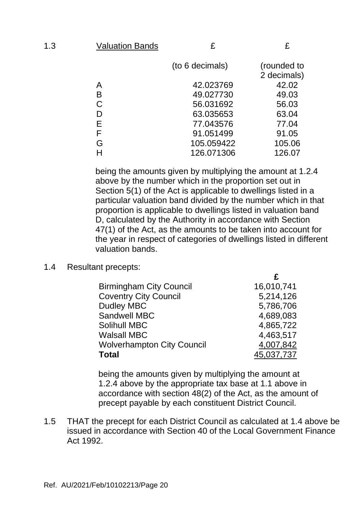| ٠<br>۰,<br>÷<br>÷ |
|-------------------|
| .,<br>۰,<br>-     |

 **£**

| (to 6 decimals) |            | (rounded to |
|-----------------|------------|-------------|
|                 |            | 2 decimals) |
| Α               | 42.023769  | 42.02       |
| B               | 49.027730  | 49.03       |
| C               | 56.031692  | 56.03       |
| D               | 63.035653  | 63.04       |
| Е               | 77.043576  | 77.04       |
| F               | 91.051499  | 91.05       |
| G               | 105.059422 | 105.06      |
|                 | 126.071306 | 126.07      |

being the amounts given by multiplying the amount at 1.2.4 above by the number which in the proportion set out in Section 5(1) of the Act is applicable to dwellings listed in a particular valuation band divided by the number which in that proportion is applicable to dwellings listed in valuation band D, calculated by the Authority in accordance with Section 47(1) of the Act, as the amounts to be taken into account for the year in respect of categories of dwellings listed in different valuation bands.

#### 1.4 Resultant precepts:

| <b>Birmingham City Council</b>    | 16,010,741 |
|-----------------------------------|------------|
| <b>Coventry City Council</b>      | 5,214,126  |
| <b>Dudley MBC</b>                 | 5,786,706  |
| Sandwell MBC                      | 4,689,083  |
| <b>Solihull MBC</b>               | 4,865,722  |
| <b>Walsall MBC</b>                | 4,463,517  |
| <b>Wolverhampton City Council</b> | 4,007,842  |
| <b>Total</b>                      | 45,037,737 |

being the amounts given by multiplying the amount at 1.2.4 above by the appropriate tax base at 1.1 above in accordance with section 48(2) of the Act, as the amount of precept payable by each constituent District Council.

1.5 THAT the precept for each District Council as calculated at 1.4 above be issued in accordance with Section 40 of the Local Government Finance Act 1992.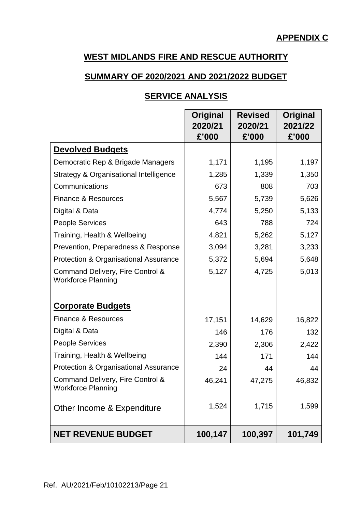#### **SUMMARY OF 2020/2021 AND 2021/2022 BUDGET**

### **SERVICE ANALYSIS**

|                                                               | Original<br>2020/21<br>£'000 | <b>Revised</b><br>2020/21<br>£'000 | Original<br>2021/22<br>£'000 |
|---------------------------------------------------------------|------------------------------|------------------------------------|------------------------------|
| <b>Devolved Budgets</b>                                       |                              |                                    |                              |
| Democratic Rep & Brigade Managers                             | 1,171                        | 1,195                              | 1,197                        |
| Strategy & Organisational Intelligence                        | 1,285                        | 1,339                              | 1,350                        |
| Communications                                                | 673                          | 808                                | 703                          |
| <b>Finance &amp; Resources</b>                                | 5,567                        | 5,739                              | 5,626                        |
| Digital & Data                                                | 4,774                        | 5,250                              | 5,133                        |
| <b>People Services</b>                                        | 643                          | 788                                | 724                          |
| Training, Health & Wellbeing                                  | 4,821                        | 5,262                              | 5,127                        |
| Prevention, Preparedness & Response                           | 3,094                        | 3,281                              | 3,233                        |
| Protection & Organisational Assurance                         | 5,372                        | 5,694                              | 5,648                        |
| Command Delivery, Fire Control &<br><b>Workforce Planning</b> | 5,127                        | 4,725                              | 5,013                        |
| <b>Corporate Budgets</b>                                      |                              |                                    |                              |
| <b>Finance &amp; Resources</b>                                | 17,151                       | 14,629                             | 16,822                       |
| Digital & Data                                                | 146                          | 176                                | 132                          |
| <b>People Services</b>                                        | 2,390                        | 2,306                              | 2,422                        |
| Training, Health & Wellbeing                                  | 144                          | 171                                | 144                          |
| Protection & Organisational Assurance                         | 24                           | 44                                 | 44                           |
| Command Delivery, Fire Control &<br><b>Workforce Planning</b> | 46,241                       | 47,275                             | 46,832                       |
| Other Income & Expenditure                                    | 1,524                        | 1,715                              | 1,599                        |
| <b>NET REVENUE BUDGET</b>                                     | 100,147                      | 100,397                            | 101,749                      |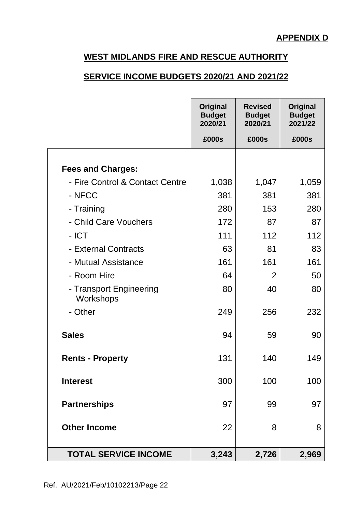#### **SERVICE INCOME BUDGETS 2020/21 AND 2021/22**

|                                      | Original<br><b>Budget</b><br>2020/21 | <b>Revised</b><br><b>Budget</b><br>2020/21 | Original<br><b>Budget</b><br>2021/22 |
|--------------------------------------|--------------------------------------|--------------------------------------------|--------------------------------------|
|                                      | £000s                                | £000s                                      | £000s                                |
| <b>Fees and Charges:</b>             |                                      |                                            |                                      |
| - Fire Control & Contact Centre      | 1,038                                | 1,047                                      | 1,059                                |
| - NFCC                               | 381                                  | 381                                        | 381                                  |
| - Training                           | 280                                  | 153                                        | 280                                  |
| - Child Care Vouchers                | 172                                  | 87                                         | 87                                   |
| $-ICT$                               | 111                                  | 112                                        | 112                                  |
| - External Contracts                 | 63                                   | 81                                         | 83                                   |
| - Mutual Assistance                  | 161                                  | 161                                        | 161                                  |
| - Room Hire                          | 64                                   | 2                                          | 50                                   |
| - Transport Engineering<br>Workshops | 80                                   | 40                                         | 80                                   |
| - Other                              | 249                                  | 256                                        | 232                                  |
| <b>Sales</b>                         | 94                                   | 59                                         | 90                                   |
| <b>Rents - Property</b>              | 131                                  | 140                                        | 149                                  |
| <b>Interest</b>                      | 300                                  | 100                                        | 100                                  |
| <b>Partnerships</b>                  | 97                                   | 99                                         | 97                                   |
| <b>Other Income</b>                  | 22                                   | 8                                          | 8                                    |
| <b>TOTAL SERVICE INCOME</b>          | 3,243                                | 2,726                                      | 2,969                                |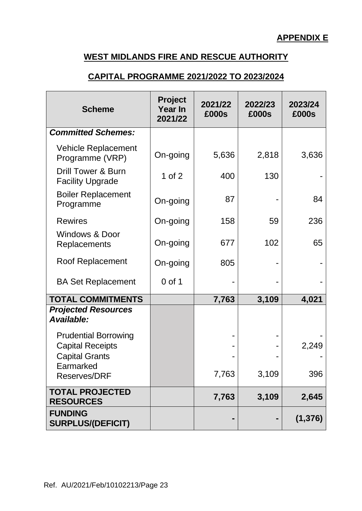#### **CAPITAL PROGRAMME 2021/2022 TO 2023/2024**

| <b>Scheme</b>                                            | <b>Project</b><br>Year In<br>2021/22 | 2021/22<br>£000s | 2022/23<br>£000s | 2023/24<br>£000s |
|----------------------------------------------------------|--------------------------------------|------------------|------------------|------------------|
| <b>Committed Schemes:</b>                                |                                      |                  |                  |                  |
| <b>Vehicle Replacement</b><br>Programme (VRP)            | On-going                             | 5,636            | 2,818            | 3,636            |
| <b>Drill Tower &amp; Burn</b><br><b>Facility Upgrade</b> | 1 of $2$                             | 400              | 130              |                  |
| <b>Boiler Replacement</b><br>Programme                   | On-going                             | 87               |                  | 84               |
| <b>Rewires</b>                                           | On-going                             | 158              | 59               | 236              |
| <b>Windows &amp; Door</b><br>Replacements                | On-going                             | 677              | 102              | 65               |
| <b>Roof Replacement</b>                                  | On-going                             | 805              |                  |                  |
| <b>BA Set Replacement</b>                                | $0$ of 1                             |                  |                  |                  |
| <b>TOTAL COMMITMENTS</b>                                 |                                      | 7,763            | 3,109            | 4,021            |
| <b>Projected Resources</b><br>Available:                 |                                      |                  |                  |                  |
| <b>Prudential Borrowing</b>                              |                                      |                  |                  |                  |
| <b>Capital Receipts</b>                                  |                                      |                  |                  | 2,249            |
| <b>Capital Grants</b><br>Earmarked                       |                                      |                  |                  |                  |
| <b>Reserves/DRF</b>                                      |                                      | 7,763            | 3,109            | 396              |
| <b>TOTAL PROJECTED</b><br><b>RESOURCES</b>               |                                      | 7,763            | 3,109            | 2,645            |
| <b>FUNDING</b><br><b>SURPLUS/(DEFICIT)</b>               |                                      |                  |                  | (1, 376)         |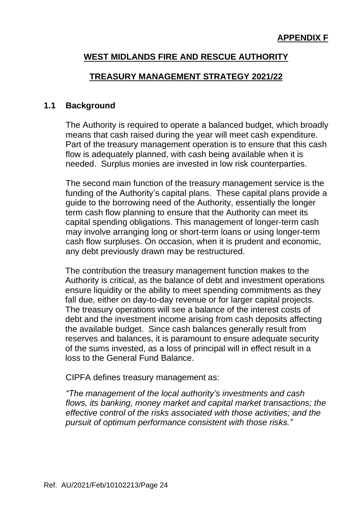#### **TREASURY MANAGEMENT STRATEGY 2021/22**

#### **1.1 Background**

The Authority is required to operate a balanced budget, which broadly means that cash raised during the year will meet cash expenditure. Part of the treasury management operation is to ensure that this cash flow is adequately planned, with cash being available when it is needed. Surplus monies are invested in low risk counterparties.

The second main function of the treasury management service is the funding of the Authority's capital plans. These capital plans provide a guide to the borrowing need of the Authority, essentially the longer term cash flow planning to ensure that the Authority can meet its capital spending obligations. This management of longer-term cash may involve arranging long or short-term loans or using longer-term cash flow surpluses. On occasion, when it is prudent and economic, any debt previously drawn may be restructured.

The contribution the treasury management function makes to the Authority is critical, as the balance of debt and investment operations ensure liquidity or the ability to meet spending commitments as they fall due, either on day-to-day revenue or for larger capital projects. The treasury operations will see a balance of the interest costs of debt and the investment income arising from cash deposits affecting the available budget. Since cash balances generally result from reserves and balances, it is paramount to ensure adequate security of the sums invested, as a loss of principal will in effect result in a loss to the General Fund Balance.

CIPFA defines treasury management as:

*"The management of the local authority's investments and cash flows, its banking, money market and capital market transactions; the effective control of the risks associated with those activities; and the pursuit of optimum performance consistent with those risks."*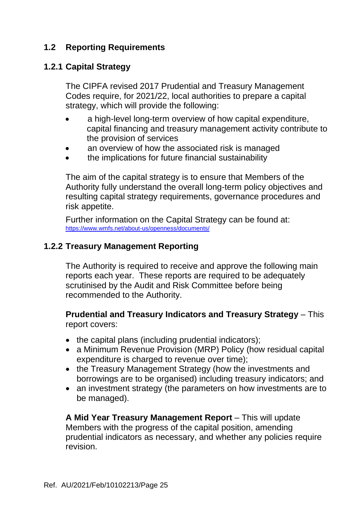### **1.2 Reporting Requirements**

### **1.2.1 Capital Strategy**

The CIPFA revised 2017 Prudential and Treasury Management Codes require, for 2021/22, local authorities to prepare a capital strategy, which will provide the following:

- a high-level long-term overview of how capital expenditure, capital financing and treasury management activity contribute to the provision of services
- an overview of how the associated risk is managed
- the implications for future financial sustainability

The aim of the capital strategy is to ensure that Members of the Authority fully understand the overall long-term policy objectives and resulting capital strategy requirements, governance procedures and risk appetite.

Further information on the Capital Strategy can be found at: <https://www.wmfs.net/about-us/openness/documents/>

### **1.2.2 Treasury Management Reporting**

The Authority is required to receive and approve the following main reports each year. These reports are required to be adequately scrutinised by the Audit and Risk Committee before being recommended to the Authority.

**Prudential and Treasury Indicators and Treasury Strategy** – This report covers:

- the capital plans (including prudential indicators);
- a Minimum Revenue Provision (MRP) Policy (how residual capital expenditure is charged to revenue over time);
- the Treasury Management Strategy (how the investments and borrowings are to be organised) including treasury indicators; and
- an investment strategy (the parameters on how investments are to be managed).

**A Mid Year Treasury Management Report** – This will update Members with the progress of the capital position, amending prudential indicators as necessary, and whether any policies require revision.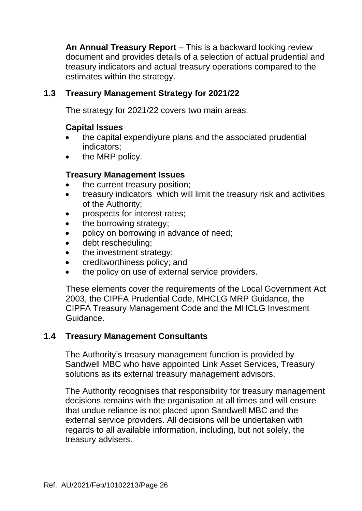**An Annual Treasury Report** – This is a backward looking review document and provides details of a selection of actual prudential and treasury indicators and actual treasury operations compared to the estimates within the strategy.

### **1.3 Treasury Management Strategy for 2021/22**

The strategy for 2021/22 covers two main areas:

#### **Capital Issues**

- the capital expendiyure plans and the associated prudential indicators;
- the MRP policy.

### **Treasury Management Issues**

- the current treasury position;
- treasury indicators which will limit the treasury risk and activities of the Authority;
- prospects for interest rates;
- the borrowing strategy:
- policy on borrowing in advance of need;
- debt rescheduling:
- the investment strategy:
- creditworthiness policy; and
- the policy on use of external service providers.

These elements cover the requirements of the Local Government Act 2003, the CIPFA Prudential Code, MHCLG MRP Guidance, the CIPFA Treasury Management Code and the MHCLG Investment Guidance.

#### **1.4 Treasury Management Consultants**

The Authority's treasury management function is provided by Sandwell MBC who have appointed Link Asset Services, Treasury solutions as its external treasury management advisors.

The Authority recognises that responsibility for treasury management decisions remains with the organisation at all times and will ensure that undue reliance is not placed upon Sandwell MBC and the external service providers. All decisions will be undertaken with regards to all available information, including, but not solely, the treasury advisers.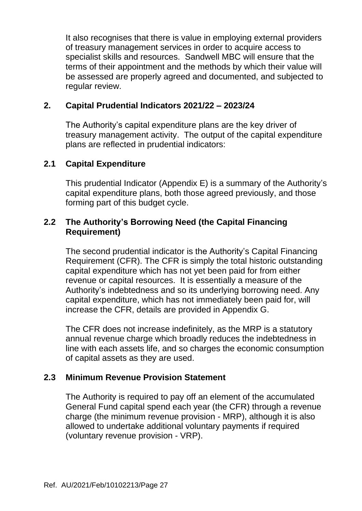It also recognises that there is value in employing external providers of treasury management services in order to acquire access to specialist skills and resources. Sandwell MBC will ensure that the terms of their appointment and the methods by which their value will be assessed are properly agreed and documented, and subjected to regular review.

## **2. Capital Prudential Indicators 2021/22 – 2023/24**

The Authority's capital expenditure plans are the key driver of treasury management activity. The output of the capital expenditure plans are reflected in prudential indicators:

### **2.1 Capital Expenditure**

This prudential Indicator (Appendix E) is a summary of the Authority's capital expenditure plans, both those agreed previously, and those forming part of this budget cycle.

### **2.2 The Authority's Borrowing Need (the Capital Financing Requirement)**

The second prudential indicator is the Authority's Capital Financing Requirement (CFR). The CFR is simply the total historic outstanding capital expenditure which has not yet been paid for from either revenue or capital resources. It is essentially a measure of the Authority's indebtedness and so its underlying borrowing need. Any capital expenditure, which has not immediately been paid for, will increase the CFR, details are provided in Appendix G.

The CFR does not increase indefinitely, as the MRP is a statutory annual revenue charge which broadly reduces the indebtedness in line with each assets life, and so charges the economic consumption of capital assets as they are used.

## **2.3 Minimum Revenue Provision Statement**

The Authority is required to pay off an element of the accumulated General Fund capital spend each year (the CFR) through a revenue charge (the minimum revenue provision - MRP), although it is also allowed to undertake additional voluntary payments if required (voluntary revenue provision - VRP).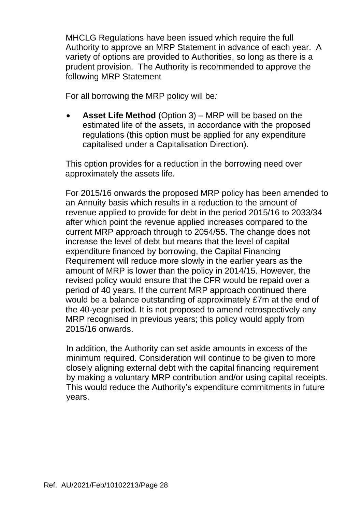MHCLG Regulations have been issued which require the full Authority to approve an MRP Statement in advance of each year. A variety of options are provided to Authorities, so long as there is a prudent provision. The Authority is recommended to approve the following MRP Statement

For all borrowing the MRP policy will be*:*

• **Asset Life Method** (Option 3) – MRP will be based on the estimated life of the assets, in accordance with the proposed regulations (this option must be applied for any expenditure capitalised under a Capitalisation Direction).

This option provides for a reduction in the borrowing need over approximately the assets life.

For 2015/16 onwards the proposed MRP policy has been amended to an Annuity basis which results in a reduction to the amount of revenue applied to provide for debt in the period 2015/16 to 2033/34 after which point the revenue applied increases compared to the current MRP approach through to 2054/55. The change does not increase the level of debt but means that the level of capital expenditure financed by borrowing, the Capital Financing Requirement will reduce more slowly in the earlier years as the amount of MRP is lower than the policy in 2014/15. However, the revised policy would ensure that the CFR would be repaid over a period of 40 years. If the current MRP approach continued there would be a balance outstanding of approximately £7m at the end of the 40-year period. It is not proposed to amend retrospectively any MRP recognised in previous years; this policy would apply from 2015/16 onwards.

In addition, the Authority can set aside amounts in excess of the minimum required. Consideration will continue to be given to more closely aligning external debt with the capital financing requirement by making a voluntary MRP contribution and/or using capital receipts. This would reduce the Authority's expenditure commitments in future years.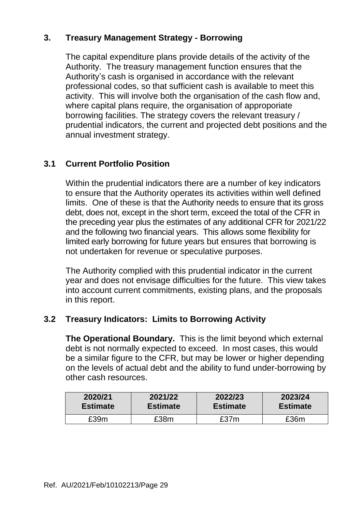### **3. Treasury Management Strategy - Borrowing**

The capital expenditure plans provide details of the activity of the Authority. The treasury management function ensures that the Authority's cash is organised in accordance with the relevant professional codes, so that sufficient cash is available to meet this activity. This will involve both the organisation of the cash flow and, where capital plans require, the organisation of approporiate borrowing facilities. The strategy covers the relevant treasury / prudential indicators, the current and projected debt positions and the annual investment strategy.

## **3.1 Current Portfolio Position**

Within the prudential indicators there are a number of key indicators to ensure that the Authority operates its activities within well defined limits. One of these is that the Authority needs to ensure that its gross debt, does not, except in the short term, exceed the total of the CFR in the preceding year plus the estimates of any additional CFR for 2021/22 and the following two financial years. This allows some flexibility for limited early borrowing for future years but ensures that borrowing is not undertaken for revenue or speculative purposes.

The Authority complied with this prudential indicator in the current year and does not envisage difficulties for the future. This view takes into account current commitments, existing plans, and the proposals in this report.

## **3.2 Treasury Indicators: Limits to Borrowing Activity**

**The Operational Boundary.** This is the limit beyond which external debt is not normally expected to exceed. In most cases, this would be a similar figure to the CFR, but may be lower or higher depending on the levels of actual debt and the ability to fund under-borrowing by other cash resources.

| 2020/21         | 2021/22         | 2022/23         | 2023/24         |
|-----------------|-----------------|-----------------|-----------------|
| <b>Estimate</b> | <b>Estimate</b> | <b>Estimate</b> | <b>Estimate</b> |
| £39m            | £38m            | £37m            | £36m            |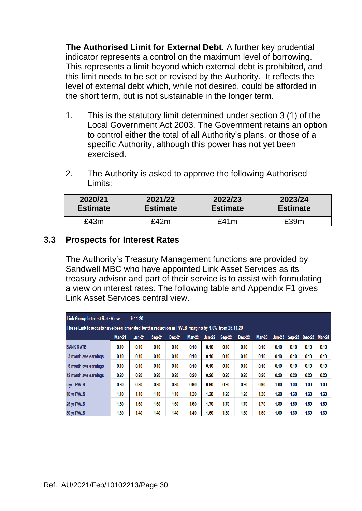**The Authorised Limit for External Debt.** A further key prudential indicator represents a control on the maximum level of borrowing. This represents a limit beyond which external debt is prohibited, and this limit needs to be set or revised by the Authority. It reflects the level of external debt which, while not desired, could be afforded in the short term, but is not sustainable in the longer term.

- 1. This is the statutory limit determined under section 3 (1) of the Local Government Act 2003. The Government retains an option to control either the total of all Authority's plans, or those of a specific Authority, although this power has not yet been exercised.
- 2. The Authority is asked to approve the following Authorised Limits:

| 2020/21         | 2021/22         | 2022/23         | 2023/24         |
|-----------------|-----------------|-----------------|-----------------|
| <b>Estimate</b> | <b>Estimate</b> | <b>Estimate</b> | <b>Estimate</b> |
| £43m            | £42m            | £41m            | f39m            |

### **3.3 Prospects for Interest Rates**

The Authority's Treasury Management functions are provided by Sandwell MBC who have appointed Link Asset Services as its treasury advisor and part of their service is to assist with formulating a view on interest rates. The following table and Appendix F1 gives Link Asset Services central view.

| <b>Link Group Interest Rate View</b>                                                           |               | 9.11.20       |               |        |               |               |        |        |               |               |      |                      |      |
|------------------------------------------------------------------------------------------------|---------------|---------------|---------------|--------|---------------|---------------|--------|--------|---------------|---------------|------|----------------------|------|
| These Link forecasts have been amended for the reduction in PWLB margins by 1.0% from 26.11.20 |               |               |               |        |               |               |        |        |               |               |      |                      |      |
|                                                                                                | <b>Mar-21</b> | <b>Jun-21</b> | <b>Sep-21</b> | Dec-21 | <b>Mar-22</b> | <b>Jun-22</b> | Sep-22 | Dec-22 | <b>Mar-23</b> | <b>Jun-23</b> |      | Sep-23 Dec-23 Mar-24 |      |
| <b>BANK RATE</b>                                                                               | 0.10          | 0.10          | 0.10          | 0.10   | 0.10          | 0.10          | 0.10   | 0.10   | 0.10          | 0.10          | 0.10 | 0.10                 | 0.10 |
| 3 month ave earnings                                                                           | 0.10          | 0.10          | 0.10          | 0.10   | 0.10          | 0.10          | 0.10   | 0.10   | 0.10          | 0.10          | 0.10 | 0.10                 | 0.10 |
| 6 month ave earnings                                                                           | 0.10          | 0.10          | 0.10          | 0.10   | 0.10          | 0.10          | 0.10   | 0.10   | 0.10          | 0.10          | 0.10 | 0.10                 | 0.10 |
| 12 month ave earnings                                                                          | 0.20          | 0.20          | 0.20          | 0.20   | 0.20          | 0.20          | 0.20   | 0.20   | 0.20          | 0.20          | 0.20 | 0.20                 | 0.20 |
| 5yr PWLB                                                                                       | 0.80          | 0.80          | 0.80          | 0.80   | 0.90          | 0.90          | 0.90   | 0.90   | 0.90          | 1.00          | 1.00 | 1.00                 | 1.00 |
| 10 yr PWLB                                                                                     | 1.10          | 1.10          | 1.10          | 1.10   | 1.20          | 1.20          | 1.20   | 1.20   | 1.20          | 1.30          | 1.30 | 1.30                 | 1.30 |
| 25 yr PWLB                                                                                     | 1.50          | 1.60          | 1.60          | 1.60   | 1.60          | 1.70          | 1.70   | 1.70   | 1.70          | 1.80          | 1.80 | 1.80                 | 1.80 |
| 50 yr PWLB                                                                                     | 1.30          | 1.40          | 1.40          | 1.40   | 1.40          | 1.50          | 1.50   | 1.50   | 1.50          | 1.60          | 1.60 | 1.60                 | 1.60 |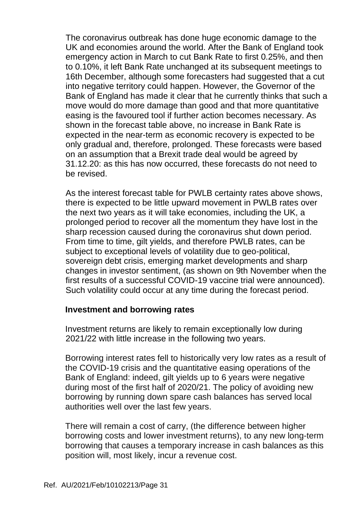The coronavirus outbreak has done huge economic damage to the UK and economies around the world. After the Bank of England took emergency action in March to cut Bank Rate to first 0.25%, and then to 0.10%, it left Bank Rate unchanged at its subsequent meetings to 16th December, although some forecasters had suggested that a cut into negative territory could happen. However, the Governor of the Bank of England has made it clear that he currently thinks that such a move would do more damage than good and that more quantitative easing is the favoured tool if further action becomes necessary. As shown in the forecast table above, no increase in Bank Rate is expected in the near-term as economic recovery is expected to be only gradual and, therefore, prolonged. These forecasts were based on an assumption that a Brexit trade deal would be agreed by 31.12.20: as this has now occurred, these forecasts do not need to be revised.

As the interest forecast table for PWLB certainty rates above shows, there is expected to be little upward movement in PWLB rates over the next two years as it will take economies, including the UK, a prolonged period to recover all the momentum they have lost in the sharp recession caused during the coronavirus shut down period. From time to time, gilt yields, and therefore PWLB rates, can be subject to exceptional levels of volatility due to geo-political, sovereign debt crisis, emerging market developments and sharp changes in investor sentiment, (as shown on 9th November when the first results of a successful COVID-19 vaccine trial were announced). Such volatility could occur at any time during the forecast period.

#### **Investment and borrowing rates**

Investment returns are likely to remain exceptionally low during 2021/22 with little increase in the following two years.

Borrowing interest rates fell to historically very low rates as a result of the COVID-19 crisis and the quantitative easing operations of the Bank of England: indeed, gilt yields up to 6 years were negative during most of the first half of 2020/21. The policy of avoiding new borrowing by running down spare cash balances has served local authorities well over the last few years.

There will remain a cost of carry, (the difference between higher borrowing costs and lower investment returns), to any new long-term borrowing that causes a temporary increase in cash balances as this position will, most likely, incur a revenue cost.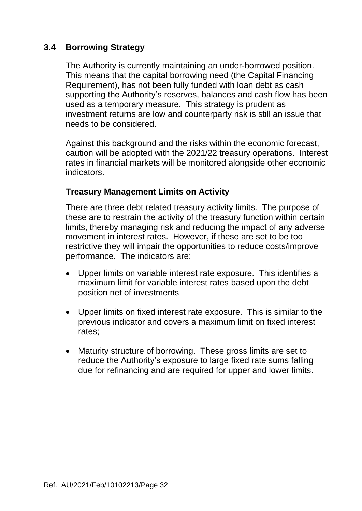### **3.4 Borrowing Strategy**

The Authority is currently maintaining an under-borrowed position. This means that the capital borrowing need (the Capital Financing Requirement), has not been fully funded with loan debt as cash supporting the Authority's reserves, balances and cash flow has been used as a temporary measure. This strategy is prudent as investment returns are low and counterparty risk is still an issue that needs to be considered.

Against this background and the risks within the economic forecast, caution will be adopted with the 2021/22 treasury operations. Interest rates in financial markets will be monitored alongside other economic indicators.

### **Treasury Management Limits on Activity**

There are three debt related treasury activity limits. The purpose of these are to restrain the activity of the treasury function within certain limits, thereby managing risk and reducing the impact of any adverse movement in interest rates. However, if these are set to be too restrictive they will impair the opportunities to reduce costs/improve performance*.* The indicators are:

- Upper limits on variable interest rate exposure. This identifies a maximum limit for variable interest rates based upon the debt position net of investments
- Upper limits on fixed interest rate exposure. This is similar to the previous indicator and covers a maximum limit on fixed interest rates;
- Maturity structure of borrowing. These gross limits are set to reduce the Authority's exposure to large fixed rate sums falling due for refinancing and are required for upper and lower limits.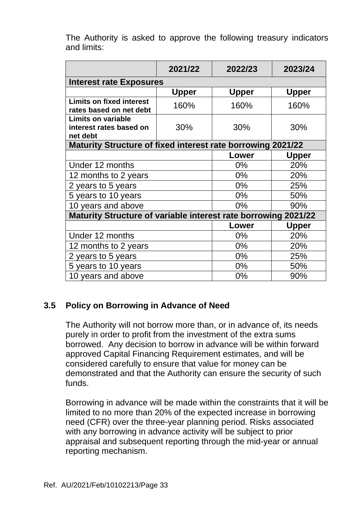|                                                                    | 2021/22      | 2022/23 | 2023/24      |
|--------------------------------------------------------------------|--------------|---------|--------------|
| <b>Interest rate Exposures</b>                                     |              |         |              |
|                                                                    | <b>Upper</b> | Upper   | <b>Upper</b> |
| <b>Limits on fixed interest</b><br>rates based on net debt         | 160%         | 160%    | 160%         |
| <b>Limits on variable</b><br>interest rates based on<br>net debt   | 30%          | 30%     | 30%          |
| <b>Maturity Structure of fixed interest rate borrowing 2021/22</b> |              |         |              |
|                                                                    |              | Lower   | <b>Upper</b> |
| Under 12 months                                                    |              | $0\%$   | 20%          |
| 12 months to 2 years                                               |              | $0\%$   | 20%          |
| 2 years to 5 years                                                 |              | $0\%$   | 25%          |
| 5 years to 10 years                                                |              | $0\%$   | 50%          |
| 10 years and above                                                 |              | $0\%$   | 90%          |
| Maturity Structure of variable interest rate borrowing 2021/22     |              |         |              |
|                                                                    |              | Lower   | <b>Upper</b> |
| Under 12 months                                                    |              | $0\%$   | 20%          |
| 12 months to 2 years                                               |              | $0\%$   | 20%          |
| 2 years to 5 years                                                 |              | $0\%$   | 25%          |
| 5 years to 10 years                                                |              | $0\%$   | 50%          |
| 10 years and above                                                 |              | 0%      | 90%          |

The Authority is asked to approve the following treasury indicators and limits:

### **3.5 Policy on Borrowing in Advance of Need**

The Authority will not borrow more than, or in advance of, its needs purely in order to profit from the investment of the extra sums borrowed. Any decision to borrow in advance will be within forward approved Capital Financing Requirement estimates, and will be considered carefully to ensure that value for money can be demonstrated and that the Authority can ensure the security of such funds.

Borrowing in advance will be made within the constraints that it will be limited to no more than 20% of the expected increase in borrowing need (CFR) over the three-year planning period. Risks associated with any borrowing in advance activity will be subject to prior appraisal and subsequent reporting through the mid-year or annual reporting mechanism.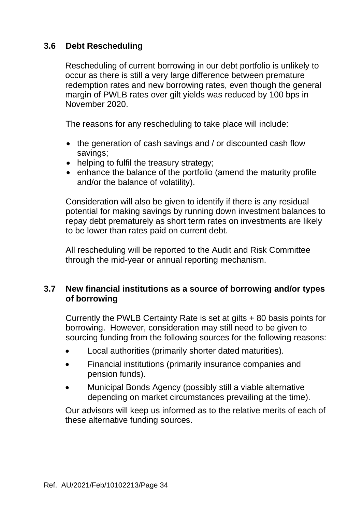### **3.6 Debt Rescheduling**

Rescheduling of current borrowing in our debt portfolio is unlikely to occur as there is still a very large difference between premature redemption rates and new borrowing rates, even though the general margin of PWLB rates over gilt yields was reduced by 100 bps in November 2020.

The reasons for any rescheduling to take place will include:

- the generation of cash savings and / or discounted cash flow savings;
- helping to fulfil the treasury strategy;
- enhance the balance of the portfolio (amend the maturity profile and/or the balance of volatility).

Consideration will also be given to identify if there is any residual potential for making savings by running down investment balances to repay debt prematurely as short term rates on investments are likely to be lower than rates paid on current debt.

All rescheduling will be reported to the Audit and Risk Committee through the mid-year or annual reporting mechanism.

### **3.7 New financial institutions as a source of borrowing and/or types of borrowing**

Currently the PWLB Certainty Rate is set at gilts + 80 basis points for borrowing. However, consideration may still need to be given to sourcing funding from the following sources for the following reasons:

- Local authorities (primarily shorter dated maturities).
- Financial institutions (primarily insurance companies and pension funds).
- Municipal Bonds Agency (possibly still a viable alternative depending on market circumstances prevailing at the time).

Our advisors will keep us informed as to the relative merits of each of these alternative funding sources.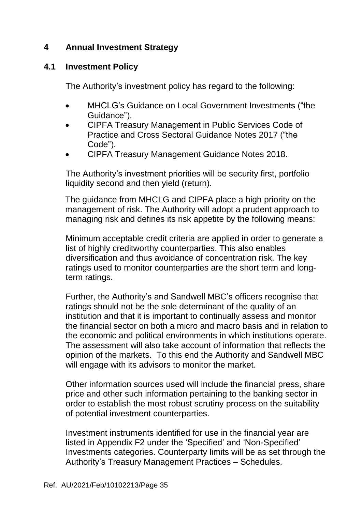### **4 Annual Investment Strategy**

### **4.1 Investment Policy**

The Authority's investment policy has regard to the following:

- MHCLG's Guidance on Local Government Investments ("the Guidance").
- CIPFA Treasury Management in Public Services Code of Practice and Cross Sectoral Guidance Notes 2017 ("the Code").
- CIPFA Treasury Management Guidance Notes 2018.

The Authority's investment priorities will be security first, portfolio liquidity second and then yield (return).

The guidance from MHCLG and CIPFA place a high priority on the management of risk. The Authority will adopt a prudent approach to managing risk and defines its risk appetite by the following means:

Minimum acceptable credit criteria are applied in order to generate a list of highly creditworthy counterparties. This also enables diversification and thus avoidance of concentration risk. The key ratings used to monitor counterparties are the short term and longterm ratings.

Further, the Authority's and Sandwell MBC's officers recognise that ratings should not be the sole determinant of the quality of an institution and that it is important to continually assess and monitor the financial sector on both a micro and macro basis and in relation to the economic and political environments in which institutions operate. The assessment will also take account of information that reflects the opinion of the markets. To this end the Authority and Sandwell MBC will engage with its advisors to monitor the market.

Other information sources used will include the financial press, share price and other such information pertaining to the banking sector in order to establish the most robust scrutiny process on the suitability of potential investment counterparties.

Investment instruments identified for use in the financial year are listed in Appendix F2 under the 'Specified' and 'Non-Specified' Investments categories. Counterparty limits will be as set through the Authority's Treasury Management Practices – Schedules.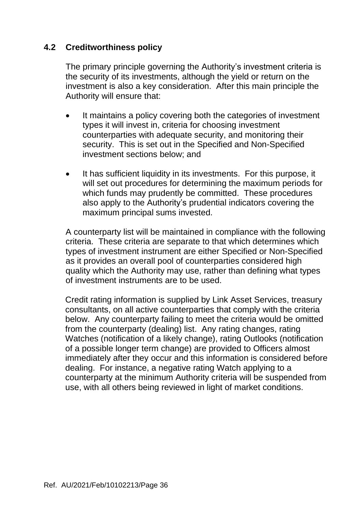### **4.2 Creditworthiness policy**

The primary principle governing the Authority's investment criteria is the security of its investments, although the yield or return on the investment is also a key consideration. After this main principle the Authority will ensure that:

- It maintains a policy covering both the categories of investment types it will invest in, criteria for choosing investment counterparties with adequate security, and monitoring their security. This is set out in the Specified and Non-Specified investment sections below; and
- It has sufficient liquidity in its investments. For this purpose, it will set out procedures for determining the maximum periods for which funds may prudently be committed. These procedures also apply to the Authority's prudential indicators covering the maximum principal sums invested.

A counterparty list will be maintained in compliance with the following criteria. These criteria are separate to that which determines which types of investment instrument are either Specified or Non-Specified as it provides an overall pool of counterparties considered high quality which the Authority may use, rather than defining what types of investment instruments are to be used.

Credit rating information is supplied by Link Asset Services, treasury consultants, on all active counterparties that comply with the criteria below. Any counterparty failing to meet the criteria would be omitted from the counterparty (dealing) list. Any rating changes, rating Watches (notification of a likely change), rating Outlooks (notification of a possible longer term change) are provided to Officers almost immediately after they occur and this information is considered before dealing. For instance, a negative rating Watch applying to a counterparty at the minimum Authority criteria will be suspended from use, with all others being reviewed in light of market conditions.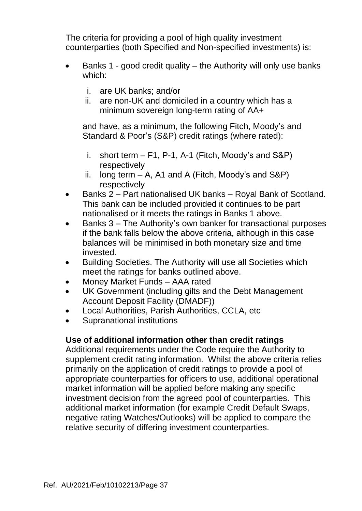The criteria for providing a pool of high quality investment counterparties (both Specified and Non-specified investments) is:

- Banks 1 good credit quality the Authority will only use banks which:
	- i. are UK banks; and/or
	- ii. are non-UK and domiciled in a country which has a minimum sovereign long-term rating of AA+

and have, as a minimum, the following Fitch, Moody's and Standard & Poor's (S&P) credit ratings (where rated):

- i. short term  $-$  F1, P-1, A-1 (Fitch, Moody's and S&P) respectively
- ii. long term  $A$ , A1 and A (Fitch, Moody's and S&P) respectively
- Banks 2 Part nationalised UK banks Royal Bank of Scotland. This bank can be included provided it continues to be part nationalised or it meets the ratings in Banks 1 above.
- Banks 3 The Authority's own banker for transactional purposes if the bank falls below the above criteria, although in this case balances will be minimised in both monetary size and time invested.
- Building Societies. The Authority will use all Societies which meet the ratings for banks outlined above.
- Money Market Funds AAA rated
- UK Government (including gilts and the Debt Management Account Deposit Facility (DMADF))
- Local Authorities, Parish Authorities, CCLA, etc
- Supranational institutions

### **Use of additional information other than credit ratings**

Additional requirements under the Code require the Authority to supplement credit rating information. Whilst the above criteria relies primarily on the application of credit ratings to provide a pool of appropriate counterparties for officers to use, additional operational market information will be applied before making any specific investment decision from the agreed pool of counterparties. This additional market information (for example Credit Default Swaps, negative rating Watches/Outlooks) will be applied to compare the relative security of differing investment counterparties.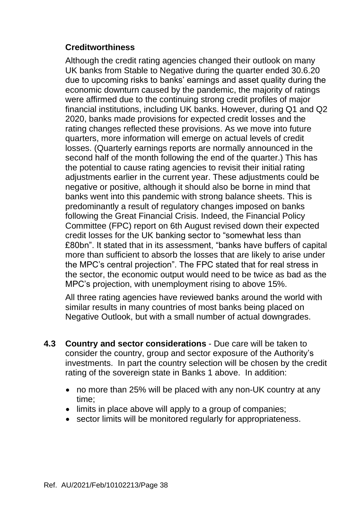## **Creditworthiness**

Although the credit rating agencies changed their outlook on many UK banks from Stable to Negative during the quarter ended 30.6.20 due to upcoming risks to banks' earnings and asset quality during the economic downturn caused by the pandemic, the majority of ratings were affirmed due to the continuing strong credit profiles of major financial institutions, including UK banks. However, during Q1 and Q2 2020, banks made provisions for expected credit losses and the rating changes reflected these provisions. As we move into future quarters, more information will emerge on actual levels of credit losses. (Quarterly earnings reports are normally announced in the second half of the month following the end of the quarter.) This has the potential to cause rating agencies to revisit their initial rating adjustments earlier in the current year. These adjustments could be negative or positive, although it should also be borne in mind that banks went into this pandemic with strong balance sheets. This is predominantly a result of regulatory changes imposed on banks following the Great Financial Crisis. Indeed, the Financial Policy Committee (FPC) report on 6th August revised down their expected credit losses for the UK banking sector to "somewhat less than £80bn". It stated that in its assessment, "banks have buffers of capital more than sufficient to absorb the losses that are likely to arise under the MPC's central projection". The FPC stated that for real stress in the sector, the economic output would need to be twice as bad as the MPC's projection, with unemployment rising to above 15%.

All three rating agencies have reviewed banks around the world with similar results in many countries of most banks being placed on Negative Outlook, but with a small number of actual downgrades.

- **4.3 Country and sector considerations** Due care will be taken to consider the country, group and sector exposure of the Authority's investments. In part the country selection will be chosen by the credit rating of the sovereign state in Banks 1 above. In addition:
	- no more than 25% will be placed with any non-UK country at any time;
	- limits in place above will apply to a group of companies;
	- sector limits will be monitored regularly for appropriateness.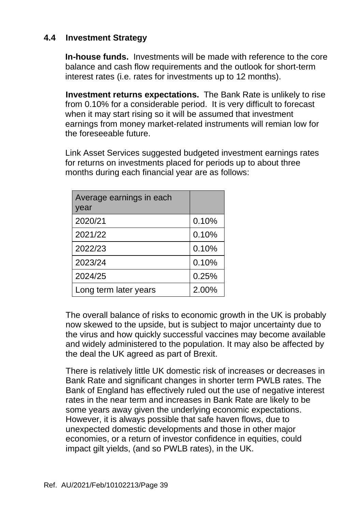### **4.4 Investment Strategy**

**In-house funds.** Investments will be made with reference to the core balance and cash flow requirements and the outlook for short-term interest rates (i.e. rates for investments up to 12 months).

**Investment returns expectations.** The Bank Rate is unlikely to rise from 0.10% for a considerable period. It is very difficult to forecast when it may start rising so it will be assumed that investment earnings from money market-related instruments will remian low for the foreseeable future.

Link Asset Services suggested budgeted investment earnings rates for returns on investments placed for periods up to about three months during each financial year are as follows:

| Average earnings in each<br>year |       |
|----------------------------------|-------|
| 2020/21                          | 0.10% |
| 2021/22                          | 0.10% |
| 2022/23                          | 0.10% |
| 2023/24                          | 0.10% |
| 2024/25                          | 0.25% |
| Long term later years            | 2.00% |

The overall balance of risks to economic growth in the UK is probably now skewed to the upside, but is subject to major uncertainty due to the virus and how quickly successful vaccines may become available and widely administered to the population. It may also be affected by the deal the UK agreed as part of Brexit.

There is relatively little UK domestic risk of increases or decreases in Bank Rate and significant changes in shorter term PWLB rates. The Bank of England has effectively ruled out the use of negative interest rates in the near term and increases in Bank Rate are likely to be some years away given the underlying economic expectations. However, it is always possible that safe haven flows, due to unexpected domestic developments and those in other major economies, or a return of investor confidence in equities, could impact gilt yields, (and so PWLB rates), in the UK.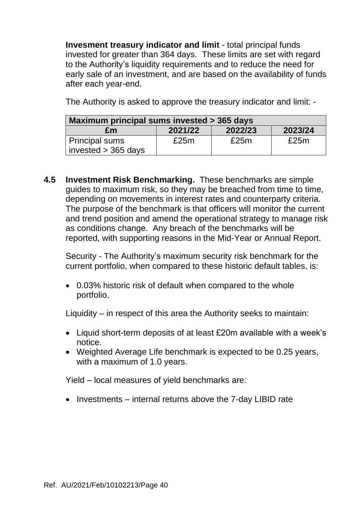**Invesment treasury indicator and limit** - total principal funds invested for greater than 364 days. These limits are set with regard to the Authority's liquidity requirements and to reduce the need for early sale of an investment, and are based on the availability of funds after each year-end.

The Authority is asked to approve the treasury indicator and limit: -

| Maximum principal sums invested > 365 days     |         |         |         |  |  |  |  |  |
|------------------------------------------------|---------|---------|---------|--|--|--|--|--|
| £m                                             | 2021/22 | 2022/23 | 2023/24 |  |  |  |  |  |
| <b>Principal sums</b><br>invested $>$ 365 days | £25m    | £25m    | £25m    |  |  |  |  |  |

**4.5 Investment Risk Benchmarking.** These benchmarks are simple guides to maximum risk, so they may be breached from time to time, depending on movements in interest rates and counterparty criteria. The purpose of the benchmark is that officers will monitor the current and trend position and amend the operational strategy to manage risk as conditions change. Any breach of the benchmarks will be reported, with supporting reasons in the Mid-Year or Annual Report.

Security - The Authority's maximum security risk benchmark for the current portfolio, when compared to these historic default tables, is:

• 0.03% historic risk of default when compared to the whole portfolio.

Liquidity – in respect of this area the Authority seeks to maintain:

- Liquid short-term deposits of at least £20m available with a week's notice.
- Weighted Average Life benchmark is expected to be 0.25 years, with a maximum of 1.0 years.

Yield – local measures of yield benchmarks are:

• Investments – internal returns above the 7-day LIBID rate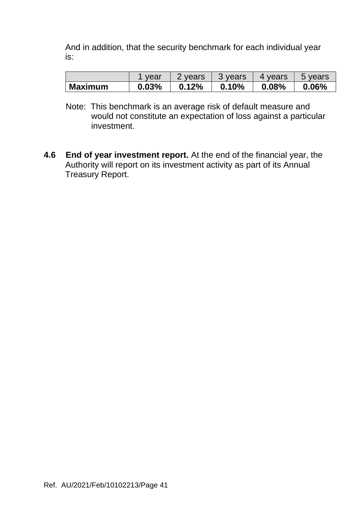And in addition, that the security benchmark for each individual year is:

|                | vear  | 2 years | 3 years | 4 years | 5 years |
|----------------|-------|---------|---------|---------|---------|
| <b>Maximum</b> | 0.03% | 0.12%   | 0.10%   | 0.08%   | 0.06%   |

- Note: This benchmark is an average risk of default measure and would not constitute an expectation of loss against a particular investment.
- **4.6 End of year investment report.** At the end of the financial year, the Authority will report on its investment activity as part of its Annual Treasury Report.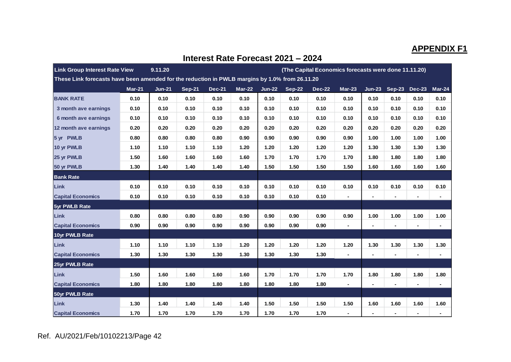# **APPENDIX F1**

| <b>Link Group Interest Rate View</b><br>9.11.20<br>(The Capital Economics forecasts were done 11.11.20) |                                                                                                |               |               |               |               |               |               |               |                |                |                          |                          |                |
|---------------------------------------------------------------------------------------------------------|------------------------------------------------------------------------------------------------|---------------|---------------|---------------|---------------|---------------|---------------|---------------|----------------|----------------|--------------------------|--------------------------|----------------|
|                                                                                                         | These Link forecasts have been amended for the reduction in PWLB margins by 1.0% from 26.11.20 |               |               |               |               |               |               |               |                |                |                          |                          |                |
|                                                                                                         | <b>Mar-21</b>                                                                                  | <b>Jun-21</b> | <b>Sep-21</b> | <b>Dec-21</b> | <b>Mar-22</b> | <b>Jun-22</b> | <b>Sep-22</b> | <b>Dec-22</b> | $Mar-23$       | $Jun-23$       |                          | Sep-23 Dec-23            | $Mar-24$       |
| <b>BANK RATE</b>                                                                                        | 0.10                                                                                           | 0.10          | 0.10          | 0.10          | 0.10          | 0.10          | 0.10          | 0.10          | 0.10           | 0.10           | 0.10                     | 0.10                     | 0.10           |
| 3 month ave earnings                                                                                    | 0.10                                                                                           | 0.10          | 0.10          | 0.10          | 0.10          | 0.10          | 0.10          | 0.10          | 0.10           | 0.10           | 0.10                     | 0.10                     | 0.10           |
| 6 month ave earnings                                                                                    | 0.10                                                                                           | 0.10          | 0.10          | 0.10          | 0.10          | 0.10          | 0.10          | 0.10          | 0.10           | 0.10           | 0.10                     | 0.10                     | 0.10           |
| 12 month ave earnings                                                                                   | 0.20                                                                                           | 0.20          | 0.20          | 0.20          | 0.20          | 0.20          | 0.20          | 0.20          | 0.20           | 0.20           | 0.20                     | 0.20                     | 0.20           |
| 5 yr PWLB                                                                                               | 0.80                                                                                           | 0.80          | 0.80          | 0.80          | 0.90          | 0.90          | 0.90          | 0.90          | 0.90           | 1.00           | 1.00                     | 1.00                     | 1.00           |
| 10 yr PWLB                                                                                              | 1.10                                                                                           | 1.10          | 1.10          | 1.10          | 1.20          | 1.20          | 1.20          | 1.20          | 1.20           | 1.30           | 1.30                     | 1.30                     | 1.30           |
| 25 yr PWLB                                                                                              | 1.50                                                                                           | 1.60          | 1.60          | 1.60          | 1.60          | 1.70          | 1.70          | 1.70          | 1.70           | 1.80           | 1.80                     | 1.80                     | 1.80           |
| 50 yr PWLB                                                                                              | 1.30                                                                                           | 1.40          | 1.40          | 1.40          | 1.40          | 1.50          | 1.50          | 1.50          | 1.50           | 1.60           | 1.60                     | 1.60                     | 1.60           |
| <b>Bank Rate</b>                                                                                        |                                                                                                |               |               |               |               |               |               |               |                |                |                          |                          |                |
| Link                                                                                                    | 0.10                                                                                           | 0.10          | 0.10          | 0.10          | 0.10          | 0.10          | 0.10          | 0.10          | 0.10           | 0.10           | 0.10                     | 0.10                     | 0.10           |
| <b>Capital Economics</b>                                                                                | 0.10                                                                                           | 0.10          | 0.10          | 0.10          | 0.10          | 0.10          | 0.10          | 0.10          | $\blacksquare$ | ۰              | $\blacksquare$           | $\blacksquare$           |                |
| 5yr PWLB Rate                                                                                           |                                                                                                |               |               |               |               |               |               |               |                |                |                          |                          |                |
| Link                                                                                                    | 0.80                                                                                           | 0.80          | 0.80          | 0.80          | 0.90          | 0.90          | 0.90          | 0.90          | 0.90           | 1.00           | 1.00                     | 1.00                     | 1.00           |
| <b>Capital Economics</b>                                                                                | 0.90                                                                                           | 0.90          | 0.90          | 0.90          | 0.90          | 0.90          | 0.90          | 0.90          | $\blacksquare$ | $\blacksquare$ | $\blacksquare$           | $\blacksquare$           | $\blacksquare$ |
| 10yr PWLB Rate                                                                                          |                                                                                                |               |               |               |               |               |               |               |                |                |                          |                          |                |
| Link                                                                                                    | 1.10                                                                                           | 1.10          | 1.10          | 1.10          | 1.20          | 1.20          | 1.20          | 1.20          | 1.20           | 1.30           | 1.30                     | 1.30                     | 1.30           |
| <b>Capital Economics</b>                                                                                | 1.30                                                                                           | 1.30          | 1.30          | 1.30          | 1.30          | 1.30          | 1.30          | 1.30          | $\blacksquare$ | -              | $\overline{\phantom{a}}$ | $\overline{\phantom{a}}$ | $\blacksquare$ |
| 25yr PWLB Rate                                                                                          |                                                                                                |               |               |               |               |               |               |               |                |                |                          |                          |                |
| Link                                                                                                    | 1.50                                                                                           | 1.60          | 1.60          | 1.60          | 1.60          | 1.70          | 1.70          | 1.70          | 1.70           | 1.80           | 1.80                     | 1.80                     | 1.80           |
| <b>Capital Economics</b>                                                                                | 1.80                                                                                           | 1.80          | 1.80          | 1.80          | 1.80          | 1.80          | 1.80          | 1.80          | $\blacksquare$ | ۰              | $\blacksquare$           | $\blacksquare$           | $\blacksquare$ |
| 50yr PWLB Rate                                                                                          |                                                                                                |               |               |               |               |               |               |               |                |                |                          |                          |                |
| Link                                                                                                    | 1.30                                                                                           | 1.40          | 1.40          | 1.40          | 1.40          | 1.50          | 1.50          | 1.50          | 1.50           | 1.60           | 1.60                     | 1.60                     | 1.60           |
| <b>Capital Economics</b>                                                                                | 1.70                                                                                           | 1.70          | 1.70          | 1.70          | 1.70          | 1.70          | 1.70          | 1.70          | $\blacksquare$ |                |                          |                          |                |

#### **Interest Rate Forecast 2021 – 2024**

Ref. AU/2021/Feb/10102213/Page 42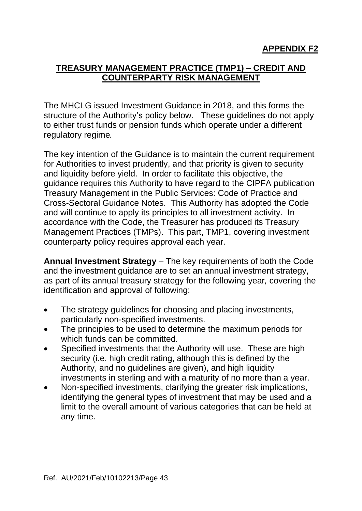## **TREASURY MANAGEMENT PRACTICE (TMP1) – CREDIT AND COUNTERPARTY RISK MANAGEMENT**

The MHCLG issued Investment Guidance in 2018, and this forms the structure of the Authority's policy below. These guidelines do not apply to either trust funds or pension funds which operate under a different regulatory regime*.*

The key intention of the Guidance is to maintain the current requirement for Authorities to invest prudently, and that priority is given to security and liquidity before yield. In order to facilitate this objective, the guidance requires this Authority to have regard to the CIPFA publication Treasury Management in the Public Services: Code of Practice and Cross-Sectoral Guidance Notes. This Authority has adopted the Code and will continue to apply its principles to all investment activity. In accordance with the Code, the Treasurer has produced its Treasury Management Practices (TMPs). This part, TMP1, covering investment counterparty policy requires approval each year.

**Annual Investment Strategy** – The key requirements of both the Code and the investment guidance are to set an annual investment strategy, as part of its annual treasury strategy for the following year*,* covering the identification and approval of following:

- The strategy guidelines for choosing and placing investments, particularly non-specified investments.
- The principles to be used to determine the maximum periods for which funds can be committed.
- Specified investments that the Authority will use. These are high security (i.e. high credit rating, although this is defined by the Authority, and no guidelines are given), and high liquidity investments in sterling and with a maturity of no more than a year.
- Non-specified investments, clarifying the greater risk implications, identifying the general types of investment that may be used and a limit to the overall amount of various categories that can be held at any time.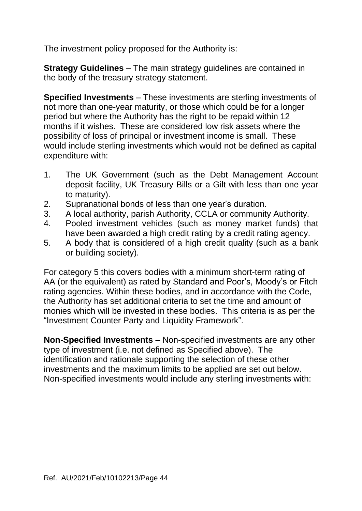The investment policy proposed for the Authority is:

**Strategy Guidelines** – The main strategy guidelines are contained in the body of the treasury strategy statement.

**Specified Investments** – These investments are sterling investments of not more than one-year maturity, or those which could be for a longer period but where the Authority has the right to be repaid within 12 months if it wishes. These are considered low risk assets where the possibility of loss of principal or investment income is small. These would include sterling investments which would not be defined as capital expenditure with:

- 1. The UK Government (such as the Debt Management Account deposit facility, UK Treasury Bills or a Gilt with less than one year to maturity).
- 2. Supranational bonds of less than one year's duration.
- 3. A local authority, parish Authority, CCLA or community Authority.
- 4. Pooled investment vehicles (such as money market funds) that have been awarded a high credit rating by a credit rating agency.
- 5. A body that is considered of a high credit quality (such as a bank or building society).

For category 5 this covers bodies with a minimum short-term rating of AA (or the equivalent) as rated by Standard and Poor's, Moody's or Fitch rating agencies. Within these bodies, and in accordance with the Code, the Authority has set additional criteria to set the time and amount of monies which will be invested in these bodies. This criteria is as per the "Investment Counter Party and Liquidity Framework".

**Non-Specified Investments** – Non-specified investments are any other type of investment (i.e. not defined as Specified above). The identification and rationale supporting the selection of these other investments and the maximum limits to be applied are set out below. Non-specified investments would include any sterling investments with: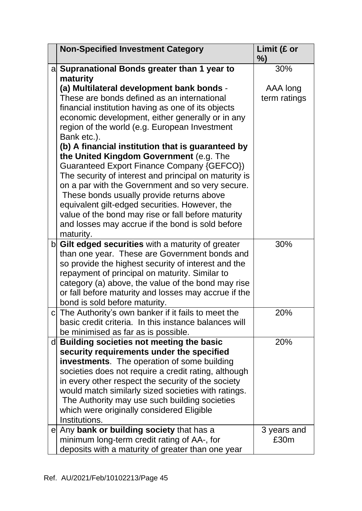| <b>Non-Specified Investment Category</b>                                                                      | Limit (£ or<br>%) |
|---------------------------------------------------------------------------------------------------------------|-------------------|
| a Supranational Bonds greater than 1 year to                                                                  | 30%               |
| maturity                                                                                                      |                   |
| (a) Multilateral development bank bonds -                                                                     | AAA long          |
| These are bonds defined as an international                                                                   | term ratings      |
| financial institution having as one of its objects                                                            |                   |
| economic development, either generally or in any                                                              |                   |
| region of the world (e.g. European Investment                                                                 |                   |
| Bank etc.).<br>(b) A financial institution that is guaranteed by                                              |                   |
| the United Kingdom Government (e.g. The                                                                       |                   |
| Guaranteed Export Finance Company {GEFCO})                                                                    |                   |
| The security of interest and principal on maturity is                                                         |                   |
| on a par with the Government and so very secure.                                                              |                   |
| These bonds usually provide returns above                                                                     |                   |
| equivalent gilt-edged securities. However, the                                                                |                   |
| value of the bond may rise or fall before maturity                                                            |                   |
| and losses may accrue if the bond is sold before                                                              |                   |
| maturity.                                                                                                     |                   |
| b Gilt edged securities with a maturity of greater                                                            | 30%               |
| than one year. These are Government bonds and                                                                 |                   |
| so provide the highest security of interest and the                                                           |                   |
| repayment of principal on maturity. Similar to                                                                |                   |
| category (a) above, the value of the bond may rise                                                            |                   |
| or fall before maturity and losses may accrue if the                                                          |                   |
| bond is sold before maturity.                                                                                 |                   |
| c The Authority's own banker if it fails to meet the<br>basic credit criteria. In this instance balances will | 20%               |
| be minimised as far as is possible.                                                                           |                   |
| d Building societies not meeting the basic                                                                    | 20%               |
| security requirements under the specified                                                                     |                   |
| <b>investments</b> . The operation of some building                                                           |                   |
| societies does not require a credit rating, although                                                          |                   |
| in every other respect the security of the society                                                            |                   |
| would match similarly sized societies with ratings.                                                           |                   |
| The Authority may use such building societies                                                                 |                   |
| which were originally considered Eligible                                                                     |                   |
| Institutions.                                                                                                 |                   |
| e Any bank or building society that has a                                                                     | 3 years and       |
| minimum long-term credit rating of AA-, for                                                                   | £30m              |
| deposits with a maturity of greater than one year                                                             |                   |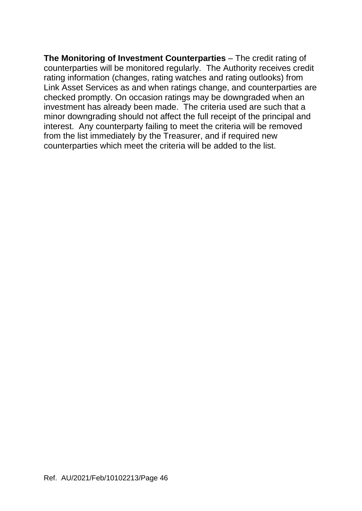**The Monitoring of Investment Counterparties** – The credit rating of counterparties will be monitored regularly. The Authority receives credit rating information (changes, rating watches and rating outlooks) from Link Asset Services as and when ratings change, and counterparties are checked promptly. On occasion ratings may be downgraded when an investment has already been made. The criteria used are such that a minor downgrading should not affect the full receipt of the principal and interest. Any counterparty failing to meet the criteria will be removed from the list immediately by the Treasurer, and if required new counterparties which meet the criteria will be added to the list.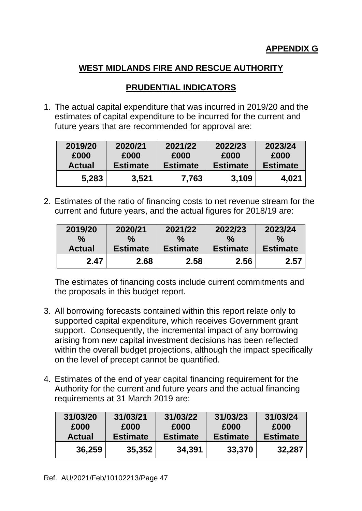# **PRUDENTIAL INDICATORS**

1. The actual capital expenditure that was incurred in 2019/20 and the estimates of capital expenditure to be incurred for the current and future years that are recommended for approval are:

| 2019/20       | 2020/21         | 2021/22         | 2022/23         | 2023/24         |
|---------------|-----------------|-----------------|-----------------|-----------------|
| £000          | £000            | £000            | £000            | £000            |
| <b>Actual</b> | <b>Estimate</b> | <b>Estimate</b> | <b>Estimate</b> | <b>Estimate</b> |
| 5,283         | 3,521           | 7,763           | 3.109           | 4,021           |

2. Estimates of the ratio of financing costs to net revenue stream for the current and future years, and the actual figures for 2018/19 are:

| 2019/20       | 2020/21         | 2021/22         | 2022/23         | 2023/24         |
|---------------|-----------------|-----------------|-----------------|-----------------|
| $\frac{0}{0}$ | $\%$            | ℅               | $\%$            | $\frac{0}{0}$   |
| <b>Actual</b> | <b>Estimate</b> | <b>Estimate</b> | <b>Estimate</b> | <b>Estimate</b> |
| 2.47          | 2.68            | 2.58            | 2.56            | 2.57            |

The estimates of financing costs include current commitments and the proposals in this budget report.

- 3. All borrowing forecasts contained within this report relate only to supported capital expenditure, which receives Government grant support. Consequently, the incremental impact of any borrowing arising from new capital investment decisions has been reflected within the overall budget projections, although the impact specifically on the level of precept cannot be quantified.
- 4. Estimates of the end of year capital financing requirement for the Authority for the current and future years and the actual financing requirements at 31 March 2019 are:

| 31/03/20      | 31/03/21        | 31/03/22        | 31/03/23        | 31/03/24        |
|---------------|-----------------|-----------------|-----------------|-----------------|
| £000          | £000            | £000            | £000            | £000            |
| <b>Actual</b> | <b>Estimate</b> | <b>Estimate</b> | <b>Estimate</b> | <b>Estimate</b> |
| 36,259        | 35,352          | 34,391          | 33,370          | 32,287          |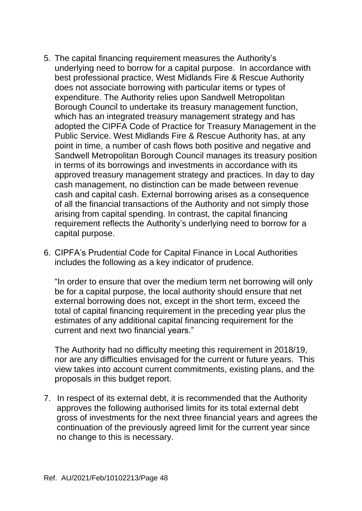- 5. The capital financing requirement measures the Authority's underlying need to borrow for a capital purpose. In accordance with best professional practice, West Midlands Fire & Rescue Authority does not associate borrowing with particular items or types of expenditure. The Authority relies upon Sandwell Metropolitan Borough Council to undertake its treasury management function, which has an integrated treasury management strategy and has adopted the CIPFA Code of Practice for Treasury Management in the Public Service. West Midlands Fire & Rescue Authority has, at any point in time, a number of cash flows both positive and negative and Sandwell Metropolitan Borough Council manages its treasury position in terms of its borrowings and investments in accordance with its approved treasury management strategy and practices. In day to day cash management, no distinction can be made between revenue cash and capital cash. External borrowing arises as a consequence of all the financial transactions of the Authority and not simply those arising from capital spending. In contrast, the capital financing requirement reflects the Authority's underlying need to borrow for a capital purpose.
- 6. CIPFA's Prudential Code for Capital Finance in Local Authorities includes the following as a key indicator of prudence.

"In order to ensure that over the medium term net borrowing will only be for a capital purpose, the local authority should ensure that net external borrowing does not, except in the short term, exceed the total of capital financing requirement in the preceding year plus the estimates of any additional capital financing requirement for the current and next two financial years."

The Authority had no difficulty meeting this requirement in 2018/19, nor are any difficulties envisaged for the current or future years. This view takes into account current commitments, existing plans, and the proposals in this budget report.

7. In respect of its external debt, it is recommended that the Authority approves the following authorised limits for its total external debt gross of investments for the next three financial years and agrees the continuation of the previously agreed limit for the current year since no change to this is necessary.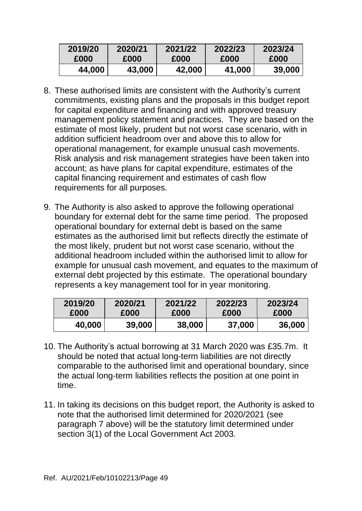| 2019/20 | 2020/21 | 2021/22 | 2022/23 | 2023/24 |
|---------|---------|---------|---------|---------|
| £000    | £000    | £000    | £000    | £000    |
| 44.000  | 43,000  | 42.000  | 41,000  | 39,000  |

- 8. These authorised limits are consistent with the Authority's current commitments, existing plans and the proposals in this budget report for capital expenditure and financing and with approved treasury management policy statement and practices. They are based on the estimate of most likely, prudent but not worst case scenario, with in addition sufficient headroom over and above this to allow for operational management, for example unusual cash movements. Risk analysis and risk management strategies have been taken into account; as have plans for capital expenditure, estimates of the capital financing requirement and estimates of cash flow requirements for all purposes.
- 9. The Authority is also asked to approve the following operational boundary for external debt for the same time period. The proposed operational boundary for external debt is based on the same estimates as the authorised limit but reflects directly the estimate of the most likely, prudent but not worst case scenario, without the additional headroom included within the authorised limit to allow for example for unusual cash movement, and equates to the maximum of external debt projected by this estimate. The operational boundary represents a key management tool for in year monitoring.

| 2019/20 | 2020/21 | 2021/22 | 2022/23 | 2023/24 |  |
|---------|---------|---------|---------|---------|--|
| £000    | £000    | £000    | £000    | £000    |  |
| 40,000  | 39,000  | 38,000  | 37,000  | 36,000  |  |

- 10. The Authority's actual borrowing at 31 March 2020 was £35.7m. It should be noted that actual long-term liabilities are not directly comparable to the authorised limit and operational boundary, since the actual long-term liabilities reflects the position at one point in time.
- 11. In taking its decisions on this budget report, the Authority is asked to note that the authorised limit determined for 2020/2021 (see paragraph 7 above) will be the statutory limit determined under section 3(1) of the Local Government Act 2003.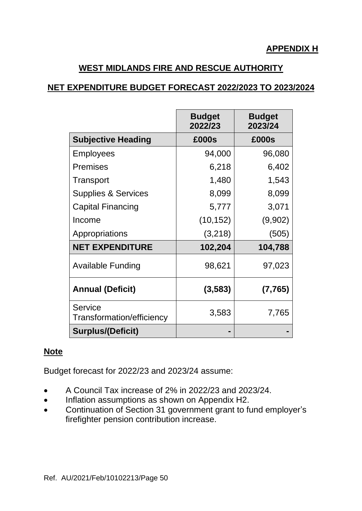## **NET EXPENDITURE BUDGET FORECAST 2022/2023 TO 2023/2024**

|                                             | <b>Budget</b><br>2022/23 | <b>Budget</b><br>2023/24 |
|---------------------------------------------|--------------------------|--------------------------|
| <b>Subjective Heading</b>                   | £000s                    | £000s                    |
| <b>Employees</b>                            | 94,000                   | 96,080                   |
| <b>Premises</b>                             | 6,218                    | 6,402                    |
| Transport                                   | 1,480                    | 1,543                    |
| <b>Supplies &amp; Services</b>              | 8,099                    | 8,099                    |
| <b>Capital Financing</b>                    | 5,777                    | 3,071                    |
| Income                                      | (10, 152)                | (9,902)                  |
| Appropriations                              | (3,218)                  | (505)                    |
| <b>NET EXPENDITURE</b>                      | 102,204                  | 104,788                  |
| <b>Available Funding</b>                    | 98,621                   | 97,023                   |
| <b>Annual (Deficit)</b>                     | (3, 583)                 | (7, 765)                 |
| <b>Service</b><br>Transformation/efficiency | 3,583                    | 7,765                    |
| <b>Surplus/(Deficit)</b>                    |                          |                          |

## **Note**

Budget forecast for 2022/23 and 2023/24 assume:

- A Council Tax increase of 2% in 2022/23 and 2023/24.
- Inflation assumptions as shown on Appendix H2.
- Continuation of Section 31 government grant to fund employer's firefighter pension contribution increase.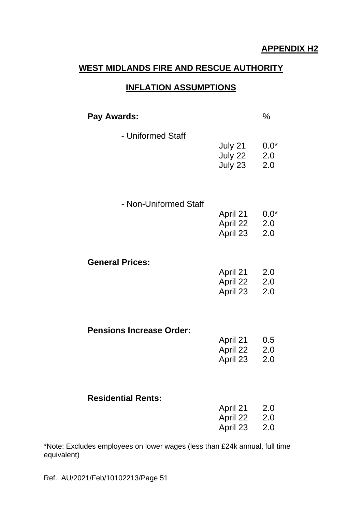### **INFLATION ASSUMPTIONS**

| Pay Awards:                     |                                  | $\%$                 |
|---------------------------------|----------------------------------|----------------------|
| - Uniformed Staff               | July 21<br>July 22<br>July 23    | $0.0*$<br>2.0<br>2.0 |
| - Non-Uniformed Staff           | April 21<br>April 22<br>April 23 | $0.0*$<br>2.0<br>2.0 |
| <b>General Prices:</b>          | April 21<br>April 22<br>April 23 | 2.0<br>2.0<br>2.0    |
| <b>Pensions Increase Order:</b> | April 21<br>April 22<br>April 23 | 0.5<br>2.0<br>2.0    |
| <b>Residential Rents:</b>       | April 21<br>April 22<br>April 23 | 2.0<br>2.0<br>2.0    |

\*Note: Excludes employees on lower wages (less than £24k annual, full time equivalent)

Ref. AU/2021/Feb/10102213/Page 51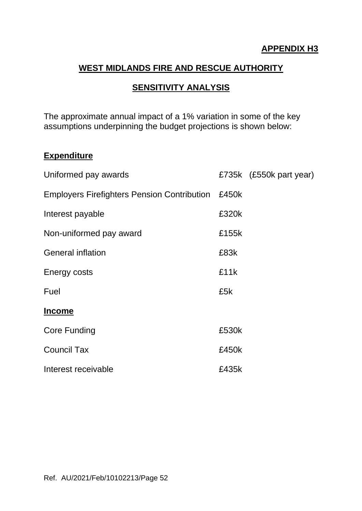### **APPENDIX H3**

## **WEST MIDLANDS FIRE AND RESCUE AUTHORITY**

### **SENSITIVITY ANALYSIS**

The approximate annual impact of a 1% variation in some of the key assumptions underpinning the budget projections is shown below:

### **Expenditure**

| Uniformed pay awards                               |       | £735k (£550k part year) |
|----------------------------------------------------|-------|-------------------------|
| <b>Employers Firefighters Pension Contribution</b> | £450k |                         |
| Interest payable                                   | £320k |                         |
| Non-uniformed pay award                            | £155k |                         |
| <b>General inflation</b>                           | £83k  |                         |
| Energy costs                                       | £11k  |                         |
| Fuel                                               | £5k   |                         |
| <b>Income</b>                                      |       |                         |
| Core Funding                                       | £530k |                         |
| <b>Council Tax</b>                                 | £450k |                         |
| Interest receivable                                | £435k |                         |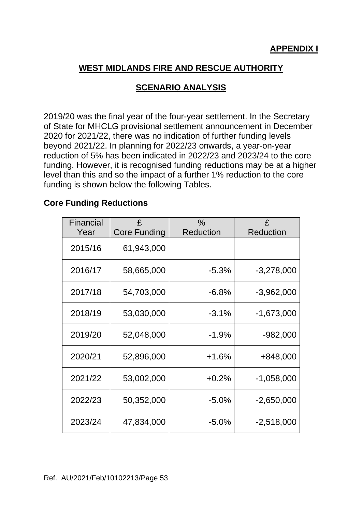# **SCENARIO ANALYSIS**

2019/20 was the final year of the four-year settlement. In the Secretary of State for MHCLG provisional settlement announcement in December 2020 for 2021/22, there was no indication of further funding levels beyond 2021/22. In planning for 2022/23 onwards, a year-on-year reduction of 5% has been indicated in 2022/23 and 2023/24 to the core funding. However, it is recognised funding reductions may be at a higher level than this and so the impact of a further 1% reduction to the core funding is shown below the following Tables.

### **Core Funding Reductions**

| Financial |                     | $\%$             | £                |
|-----------|---------------------|------------------|------------------|
| Year      | <b>Core Funding</b> | <b>Reduction</b> | <b>Reduction</b> |
| 2015/16   | 61,943,000          |                  |                  |
| 2016/17   | 58,665,000          | $-5.3%$          | $-3,278,000$     |
| 2017/18   | 54,703,000          | $-6.8%$          | $-3,962,000$     |
| 2018/19   | 53,030,000          | $-3.1%$          | $-1,673,000$     |
| 2019/20   | 52,048,000          | $-1.9%$          | -982,000         |
| 2020/21   | 52,896,000          | $+1.6%$          | +848,000         |
| 2021/22   | 53,002,000          | $+0.2%$          | $-1,058,000$     |
| 2022/23   | 50,352,000          | $-5.0%$          | $-2,650,000$     |
| 2023/24   | 47,834,000          | $-5.0%$          | $-2,518,000$     |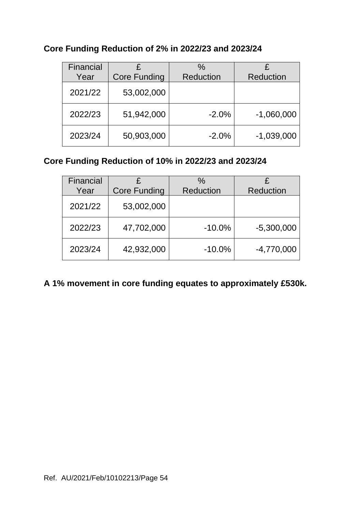# **Core Funding Reduction of 2% in 2022/23 and 2023/24**

| Financial<br>Year | £<br><b>Core Funding</b> | $\frac{0}{0}$<br><b>Reduction</b> | <b>Reduction</b> |
|-------------------|--------------------------|-----------------------------------|------------------|
| 2021/22           | 53,002,000               |                                   |                  |
| 2022/23           | 51,942,000               | $-2.0%$                           | $-1,060,000$     |
| 2023/24           | 50,903,000               | $-2.0%$                           | $-1,039,000$     |

## **Core Funding Reduction of 10% in 2022/23 and 2023/24**

| Financial |                     | $\%$             |                  |
|-----------|---------------------|------------------|------------------|
| Year      | <b>Core Funding</b> | <b>Reduction</b> | <b>Reduction</b> |
| 2021/22   | 53,002,000          |                  |                  |
| 2022/23   | 47,702,000          | $-10.0%$         | $-5,300,000$     |
| 2023/24   | 42,932,000          | $-10.0%$         | $-4,770,000$     |

# **A 1% movement in core funding equates to approximately £530k.**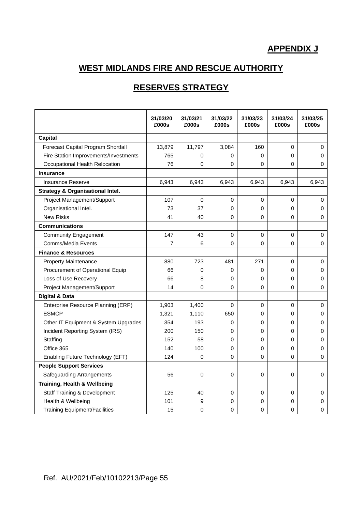# **APPENDIX J**

# **WEST MIDLANDS FIRE AND RESCUE AUTHORITY**

# **RESERVES STRATEGY**

|                                             | 31/03/20<br>£000s | 31/03/21<br>£000s | 31/03/22<br>£000s | 31/03/23<br>£000s | 31/03/24<br>£000s | 31/03/25<br>£000s |
|---------------------------------------------|-------------------|-------------------|-------------------|-------------------|-------------------|-------------------|
| <b>Capital</b>                              |                   |                   |                   |                   |                   |                   |
| Forecast Capital Program Shortfall          | 13,879            | 11,797            | 3,084             | 160               | $\Omega$          | $\Omega$          |
| Fire Station Improvements/Investments       | 765               | 0                 | 0                 | 0                 | 0                 | 0                 |
| Occupational Health Relocation              | 76                | 0                 | 0                 | 0                 | 0                 | 0                 |
| <b>Insurance</b>                            |                   |                   |                   |                   |                   |                   |
| Insurance Reserve                           | 6,943             | 6,943             | 6,943             | 6,943             | 6,943             | 6,943             |
| <b>Strategy &amp; Organisational Intel.</b> |                   |                   |                   |                   |                   |                   |
| Project Management/Support                  | 107               | 0                 | 0                 | 0                 | 0                 | 0                 |
| Organisational Intel.                       | 73                | 37                | 0                 | 0                 | $\Omega$          | 0                 |
| <b>New Risks</b>                            | 41                | 40                | 0                 | 0                 | 0                 | 0                 |
| <b>Communications</b>                       |                   |                   |                   |                   |                   |                   |
| <b>Community Engagement</b>                 | 147               | 43                | $\pmb{0}$         | $\mathbf 0$       | 0                 | $\pmb{0}$         |
| <b>Comms/Media Events</b>                   | $\overline{7}$    | 6                 | 0                 | 0                 | 0                 | 0                 |
| <b>Finance &amp; Resources</b>              |                   |                   |                   |                   |                   |                   |
| <b>Property Maintenance</b>                 | 880               | 723               | 481               | 271               | $\Omega$          | $\mathbf 0$       |
| Procurement of Operational Equip            | 66                | 0                 | 0                 | 0                 | 0                 | 0                 |
| Loss of Use Recovery                        | 66                | 8                 | 0                 | 0                 | $\Omega$          | 0                 |
| Project Management/Support                  | 14                | 0                 | 0                 | 0                 | $\Omega$          | 0                 |
| <b>Digital &amp; Data</b>                   |                   |                   |                   |                   |                   |                   |
| Enterprise Resource Planning (ERP)          | 1,903             | 1,400             | $\Omega$          | 0                 | $\Omega$          | 0                 |
| <b>ESMCP</b>                                | 1,321             | 1,110             | 650               | 0                 | 0                 | 0                 |
| Other IT Equipment & System Upgrades        | 354               | 193               | 0                 | 0                 | 0                 | 0                 |
| Incident Reporting System (IRS)             | 200               | 150               | 0                 | 0                 | $\Omega$          | 0                 |
| Staffing                                    | 152               | 58                | 0                 | 0                 | 0                 | 0                 |
| Office 365                                  | 140               | 100               | 0                 | 0                 | $\Omega$          | 0                 |
| Enabling Future Technology (EFT)            | 124               | $\mathbf 0$       | $\mathbf 0$       | 0                 | $\Omega$          | 0                 |
| <b>People Support Services</b>              |                   |                   |                   |                   |                   |                   |
| <b>Safeguarding Arrangements</b>            | 56                | $\mathbf 0$       | $\mathbf 0$       | 0                 | $\Omega$          | 0                 |
| Training, Health & Wellbeing                |                   |                   |                   |                   |                   |                   |
| <b>Staff Training &amp; Development</b>     | 125               | 40                | $\mathbf 0$       | 0                 | 0                 | $\mathbf 0$       |
| Health & Wellbeing                          | 101               | 9                 | 0                 | 0                 | 0                 | 0                 |
| <b>Training Equipment/Facilities</b>        | 15                | 0                 | 0                 | 0                 | 0                 | 0                 |